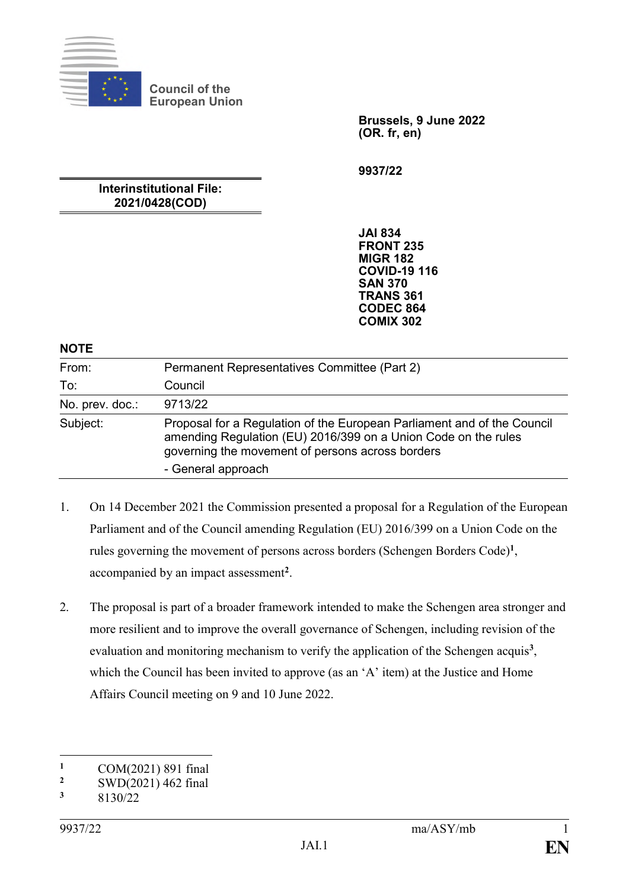

**Brussels, 9 June 2022 (OR. fr, en)**

**9937/22**

### **Interinstitutional File: 2021/0428(COD)**

**JAI 834 FRONT 235 MIGR 182 COVID-19 116 SAN 370 TRANS 361 CODEC 864 COMIX 302**

#### **NOTE**

| From:           | Permanent Representatives Committee (Part 2)                                                                                                                                                                        |
|-----------------|---------------------------------------------------------------------------------------------------------------------------------------------------------------------------------------------------------------------|
| To:             | Council                                                                                                                                                                                                             |
| No. prev. doc.: | 9713/22                                                                                                                                                                                                             |
| Subject:        | Proposal for a Regulation of the European Parliament and of the Council<br>amending Regulation (EU) 2016/399 on a Union Code on the rules<br>governing the movement of persons across borders<br>- General approach |

- 1. On 14 December 2021 the Commission presented a proposal for a Regulation of the European Parliament and of the Council amending Regulation (EU) 2016/399 on a Union Code on the rules governing the movement of persons across borders (Schengen Borders Code)**<sup>1</sup>** , accompanied by an impact assessment**<sup>2</sup>** .
- 2. The proposal is part of a broader framework intended to make the Schengen area stronger and more resilient and to improve the overall governance of Schengen, including revision of the evaluation and monitoring mechanism to verify the application of the Schengen acquis<sup>3</sup>, which the Council has been invited to approve (as an 'A' item) at the Justice and Home Affairs Council meeting on 9 and 10 June 2022.

1

<sup>&</sup>lt;sup>1</sup> COM(2021) 891 final<br><sup>2</sup> SWD(2021) 462 final

<sup>&</sup>lt;sup>2</sup> SWD(2021) 462 final<br> $\frac{3}{2}$  e120/22

**<sup>3</sup>** 8130/22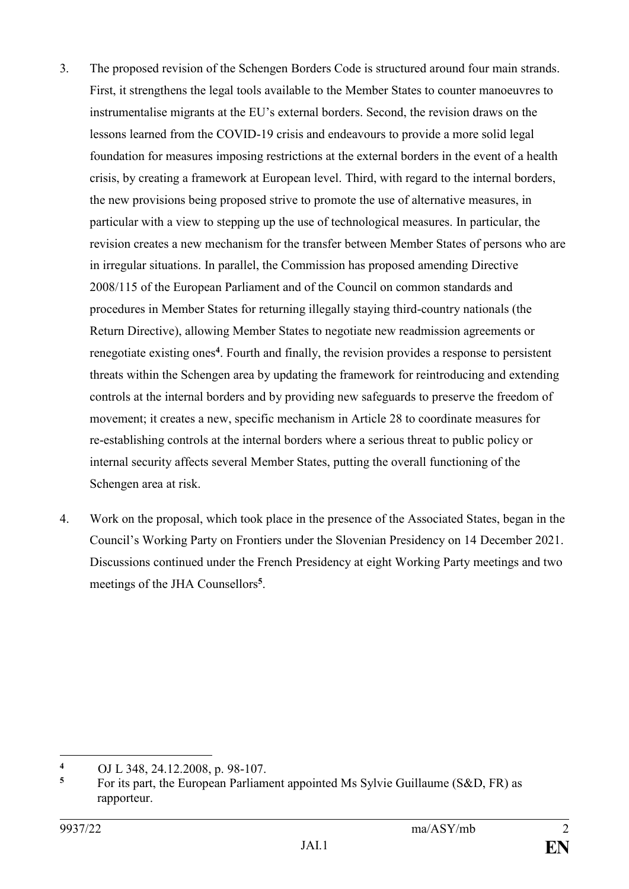- 3. The proposed revision of the Schengen Borders Code is structured around four main strands. First, it strengthens the legal tools available to the Member States to counter manoeuvres to instrumentalise migrants at the EU's external borders. Second, the revision draws on the lessons learned from the COVID-19 crisis and endeavours to provide a more solid legal foundation for measures imposing restrictions at the external borders in the event of a health crisis, by creating a framework at European level. Third, with regard to the internal borders, the new provisions being proposed strive to promote the use of alternative measures, in particular with a view to stepping up the use of technological measures. In particular, the revision creates a new mechanism for the transfer between Member States of persons who are in irregular situations. In parallel, the Commission has proposed amending Directive 2008/115 of the European Parliament and of the Council on common standards and procedures in Member States for returning illegally staying third-country nationals (the Return Directive), allowing Member States to negotiate new readmission agreements or renegotiate existing ones**<sup>4</sup>** . Fourth and finally, the revision provides a response to persistent threats within the Schengen area by updating the framework for reintroducing and extending controls at the internal borders and by providing new safeguards to preserve the freedom of movement; it creates a new, specific mechanism in Article 28 to coordinate measures for re-establishing controls at the internal borders where a serious threat to public policy or internal security affects several Member States, putting the overall functioning of the Schengen area at risk.
- 4. Work on the proposal, which took place in the presence of the Associated States, began in the Council's Working Party on Frontiers under the Slovenian Presidency on 14 December 2021. Discussions continued under the French Presidency at eight Working Party meetings and two meetings of the JHA Counsellors**<sup>5</sup>** .

<sup>1</sup> **<sup>4</sup>** OJ L 348, 24.12.2008, p. 98-107.

**<sup>5</sup>** For its part, the European Parliament appointed Ms Sylvie Guillaume (S&D, FR) as rapporteur.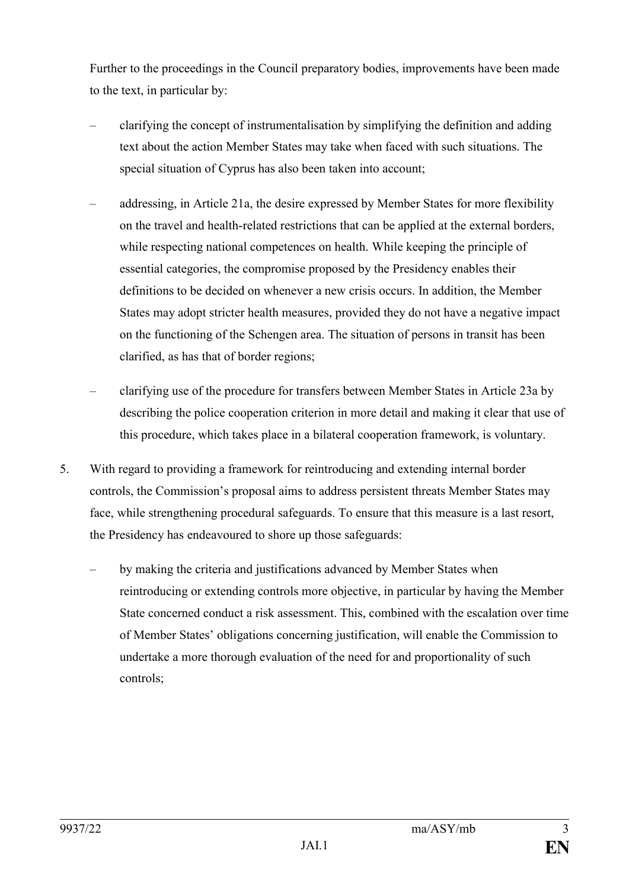Further to the proceedings in the Council preparatory bodies, improvements have been made to the text, in particular by:

- clarifying the concept of instrumentalisation by simplifying the definition and adding text about the action Member States may take when faced with such situations. The special situation of Cyprus has also been taken into account;
- addressing, in Article 21a, the desire expressed by Member States for more flexibility on the travel and health-related restrictions that can be applied at the external borders, while respecting national competences on health. While keeping the principle of essential categories, the compromise proposed by the Presidency enables their definitions to be decided on whenever a new crisis occurs. In addition, the Member States may adopt stricter health measures, provided they do not have a negative impact on the functioning of the Schengen area. The situation of persons in transit has been clarified, as has that of border regions;
- clarifying use of the procedure for transfers between Member States in Article 23a by describing the police cooperation criterion in more detail and making it clear that use of this procedure, which takes place in a bilateral cooperation framework, is voluntary.
- 5. With regard to providing a framework for reintroducing and extending internal border controls, the Commission's proposal aims to address persistent threats Member States may face, while strengthening procedural safeguards. To ensure that this measure is a last resort, the Presidency has endeavoured to shore up those safeguards:
	- by making the criteria and justifications advanced by Member States when reintroducing or extending controls more objective, in particular by having the Member State concerned conduct a risk assessment. This, combined with the escalation over time of Member States' obligations concerning justification, will enable the Commission to undertake a more thorough evaluation of the need for and proportionality of such controls;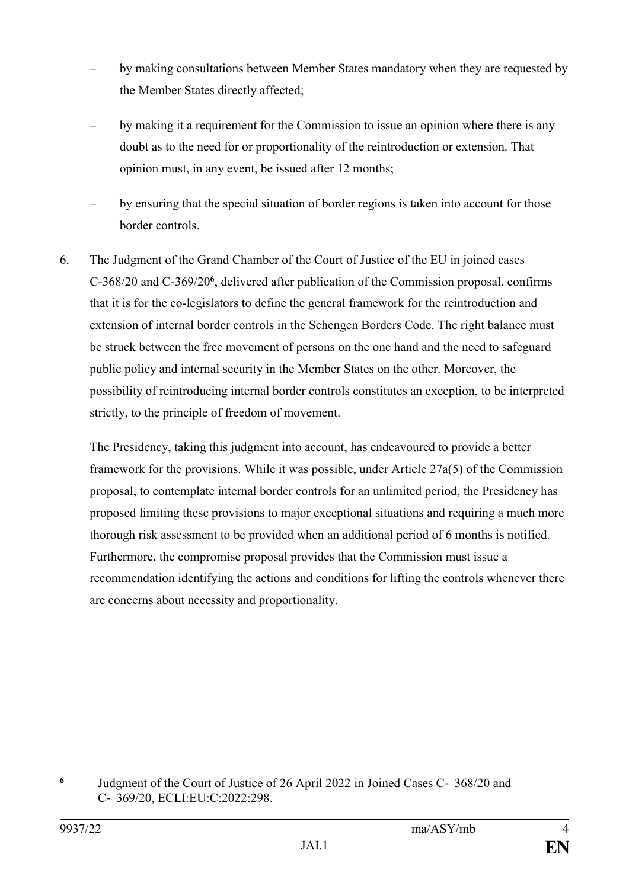- by making consultations between Member States mandatory when they are requested by the Member States directly affected;
- by making it a requirement for the Commission to issue an opinion where there is any doubt as to the need for or proportionality of the reintroduction or extension. That opinion must, in any event, be issued after 12 months;
- by ensuring that the special situation of border regions is taken into account for those border controls.
- 6. The Judgment of the Grand Chamber of the Court of Justice of the EU in joined cases C-368/20 and C-369/20**<sup>6</sup>** , delivered after publication of the Commission proposal, confirms that it is for the co-legislators to define the general framework for the reintroduction and extension of internal border controls in the Schengen Borders Code. The right balance must be struck between the free movement of persons on the one hand and the need to safeguard public policy and internal security in the Member States on the other. Moreover, the possibility of reintroducing internal border controls constitutes an exception, to be interpreted strictly, to the principle of freedom of movement.

The Presidency, taking this judgment into account, has endeavoured to provide a better framework for the provisions. While it was possible, under Article 27a(5) of the Commission proposal, to contemplate internal border controls for an unlimited period, the Presidency has proposed limiting these provisions to major exceptional situations and requiring a much more thorough risk assessment to be provided when an additional period of 6 months is notified. Furthermore, the compromise proposal provides that the Commission must issue a recommendation identifying the actions and conditions for lifting the controls whenever there are concerns about necessity and proportionality.

1

**<sup>6</sup>** Judgment of the Court of Justice of 26 April 2022 in Joined Cases C‑ 368/20 and C‑ 369/20, ECLI:EU:C:2022:298.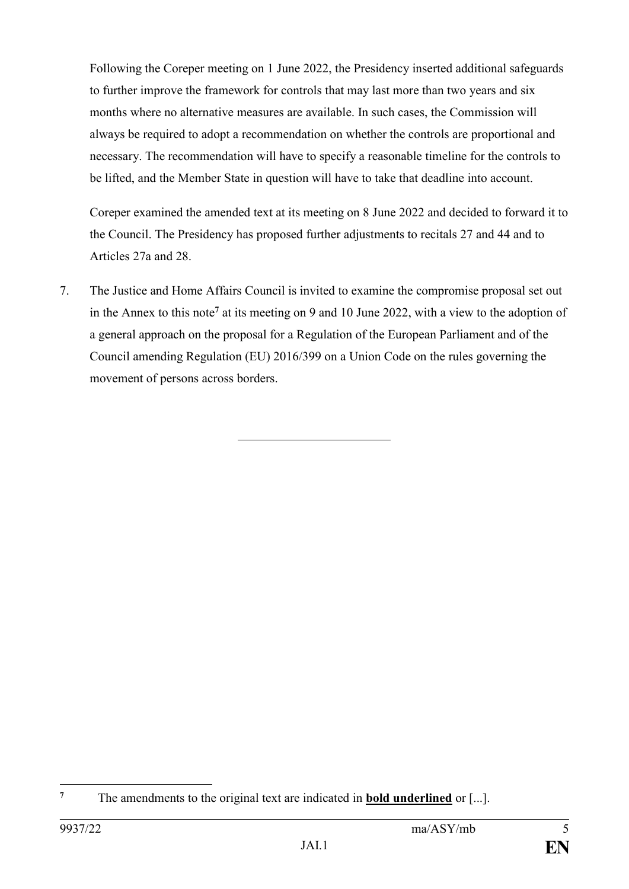Following the Coreper meeting on 1 June 2022, the Presidency inserted additional safeguards to further improve the framework for controls that may last more than two years and six months where no alternative measures are available. In such cases, the Commission will always be required to adopt a recommendation on whether the controls are proportional and necessary. The recommendation will have to specify a reasonable timeline for the controls to be lifted, and the Member State in question will have to take that deadline into account.

Coreper examined the amended text at its meeting on 8 June 2022 and decided to forward it to the Council. The Presidency has proposed further adjustments to recitals 27 and 44 and to Articles 27a and 28.

7. The Justice and Home Affairs Council is invited to examine the compromise proposal set out in the Annex to this note**<sup>7</sup>** at its meeting on 9 and 10 June 2022, with a view to the adoption of a general approach on the proposal for a Regulation of the European Parliament and of the Council amending Regulation (EU) 2016/399 on a Union Code on the rules governing the movement of persons across borders.

 $\overline{7}$ **<sup>7</sup>** The amendments to the original text are indicated in **bold underlined** or [...].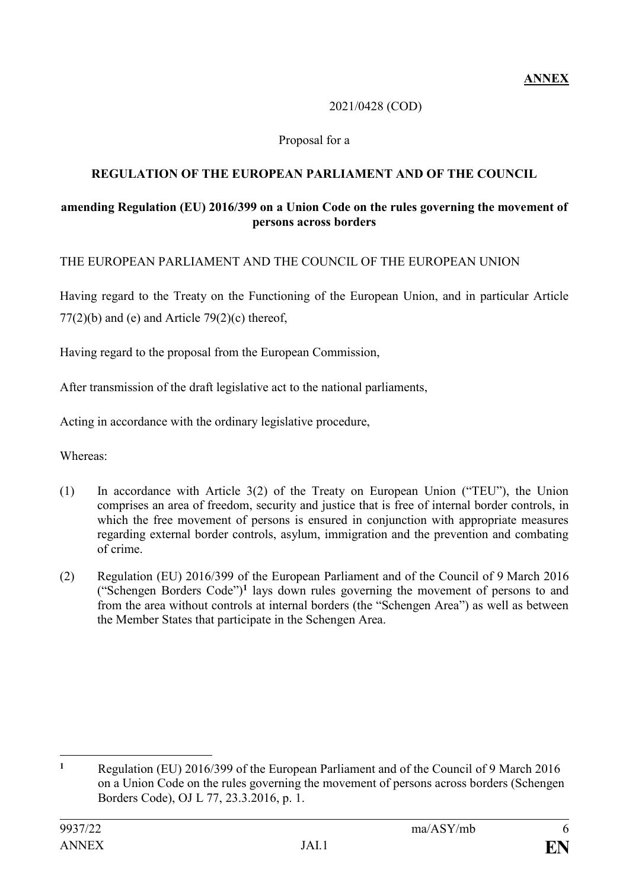### 2021/0428 (COD)

### Proposal for a

## **REGULATION OF THE EUROPEAN PARLIAMENT AND OF THE COUNCIL**

### **amending Regulation (EU) 2016/399 on a Union Code on the rules governing the movement of persons across borders**

### THE EUROPEAN PARLIAMENT AND THE COUNCIL OF THE EUROPEAN UNION

Having regard to the Treaty on the Functioning of the European Union, and in particular Article  $77(2)(b)$  and (e) and Article  $79(2)(c)$  thereof,

Having regard to the proposal from the European Commission,

After transmission of the draft legislative act to the national parliaments,

Acting in accordance with the ordinary legislative procedure,

Whereas:

- (1) In accordance with Article 3(2) of the Treaty on European Union ("TEU"), the Union comprises an area of freedom, security and justice that is free of internal border controls, in which the free movement of persons is ensured in conjunction with appropriate measures regarding external border controls, asylum, immigration and the prevention and combating of crime.
- (2) Regulation (EU) 2016/399 of the European Parliament and of the Council of 9 March 2016 ("Schengen Borders Code")**<sup>1</sup>** lays down rules governing the movement of persons to and from the area without controls at internal borders (the "Schengen Area") as well as between the Member States that participate in the Schengen Area.

1

**<sup>1</sup>** Regulation (EU) 2016/399 of the European Parliament and of the Council of 9 March 2016 on a Union Code on the rules governing the movement of persons across borders (Schengen Borders Code), OJ L 77, 23.3.2016, p. 1.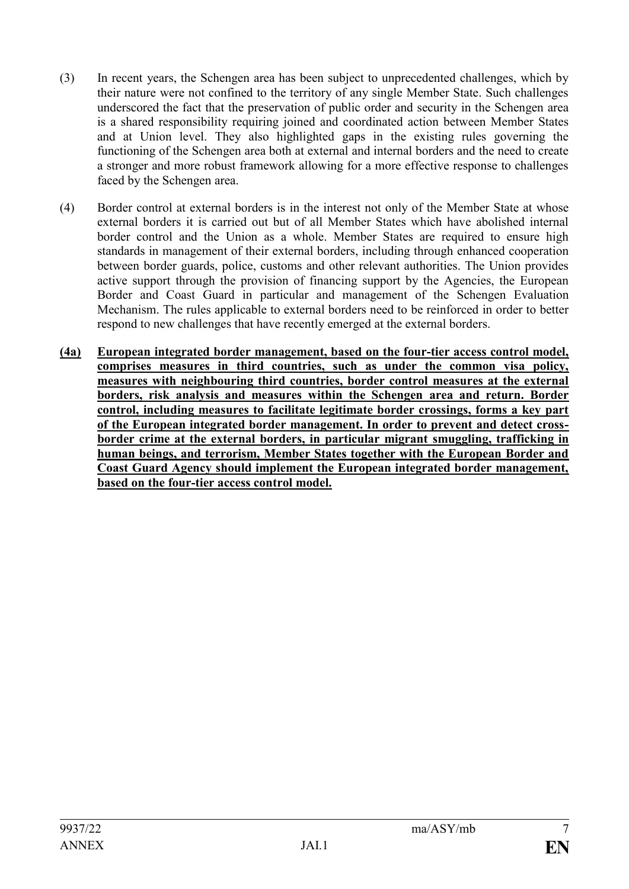- (3) In recent years, the Schengen area has been subject to unprecedented challenges, which by their nature were not confined to the territory of any single Member State. Such challenges underscored the fact that the preservation of public order and security in the Schengen area is a shared responsibility requiring joined and coordinated action between Member States and at Union level. They also highlighted gaps in the existing rules governing the functioning of the Schengen area both at external and internal borders and the need to create a stronger and more robust framework allowing for a more effective response to challenges faced by the Schengen area.
- (4) Border control at external borders is in the interest not only of the Member State at whose external borders it is carried out but of all Member States which have abolished internal border control and the Union as a whole. Member States are required to ensure high standards in management of their external borders, including through enhanced cooperation between border guards, police, customs and other relevant authorities. The Union provides active support through the provision of financing support by the Agencies, the European Border and Coast Guard in particular and management of the Schengen Evaluation Mechanism. The rules applicable to external borders need to be reinforced in order to better respond to new challenges that have recently emerged at the external borders.
- **(4a) European integrated border management, based on the four-tier access control model, comprises measures in third countries, such as under the common visa policy, measures with neighbouring third countries, border control measures at the external borders, risk analysis and measures within the Schengen area and return. Border control, including measures to facilitate legitimate border crossings, forms a key part of the European integrated border management. In order to prevent and detect crossborder crime at the external borders, in particular migrant smuggling, trafficking in human beings, and terrorism, Member States together with the European Border and Coast Guard Agency should implement the European integrated border management, based on the four-tier access control model.**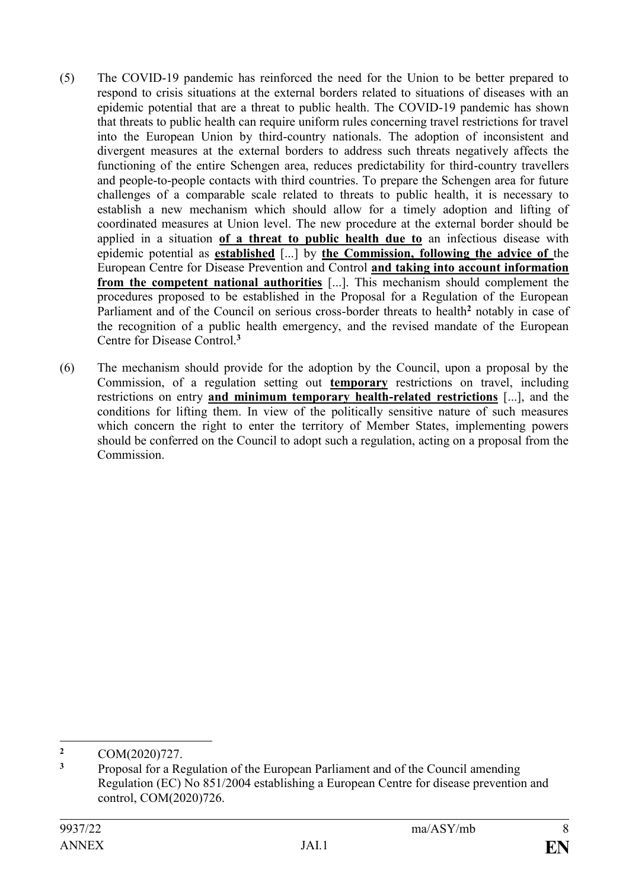- (5) The COVID-19 pandemic has reinforced the need for the Union to be better prepared to respond to crisis situations at the external borders related to situations of diseases with an epidemic potential that are a threat to public health. The COVID-19 pandemic has shown that threats to public health can require uniform rules concerning travel restrictions for travel into the European Union by third-country nationals. The adoption of inconsistent and divergent measures at the external borders to address such threats negatively affects the functioning of the entire Schengen area, reduces predictability for third-country travellers and people-to-people contacts with third countries. To prepare the Schengen area for future challenges of a comparable scale related to threats to public health, it is necessary to establish a new mechanism which should allow for a timely adoption and lifting of coordinated measures at Union level. The new procedure at the external border should be applied in a situation **of a threat to public health due to** an infectious disease with epidemic potential as **established** [...] by **the Commission, following the advice of** the European Centre for Disease Prevention and Control **and taking into account information from the competent national authorities** [...]. This mechanism should complement the procedures proposed to be established in the Proposal for a Regulation of the European Parliament and of the Council on serious cross-border threats to health**<sup>2</sup>** notably in case of the recognition of a public health emergency, and the revised mandate of the European Centre for Disease Control.**<sup>3</sup>**
- (6) The mechanism should provide for the adoption by the Council, upon a proposal by the Commission, of a regulation setting out **temporary** restrictions on travel, including restrictions on entry **and minimum temporary health-related restrictions** [...], and the conditions for lifting them. In view of the politically sensitive nature of such measures which concern the right to enter the territory of Member States, implementing powers should be conferred on the Council to adopt such a regulation, acting on a proposal from the Commission.

1

<sup>&</sup>lt;sup>2</sup> COM(2020)727.

**<sup>3</sup>** Proposal for a Regulation of the European Parliament and of the Council amending Regulation (EC) No 851/2004 establishing a European Centre for disease prevention and control, COM(2020)726.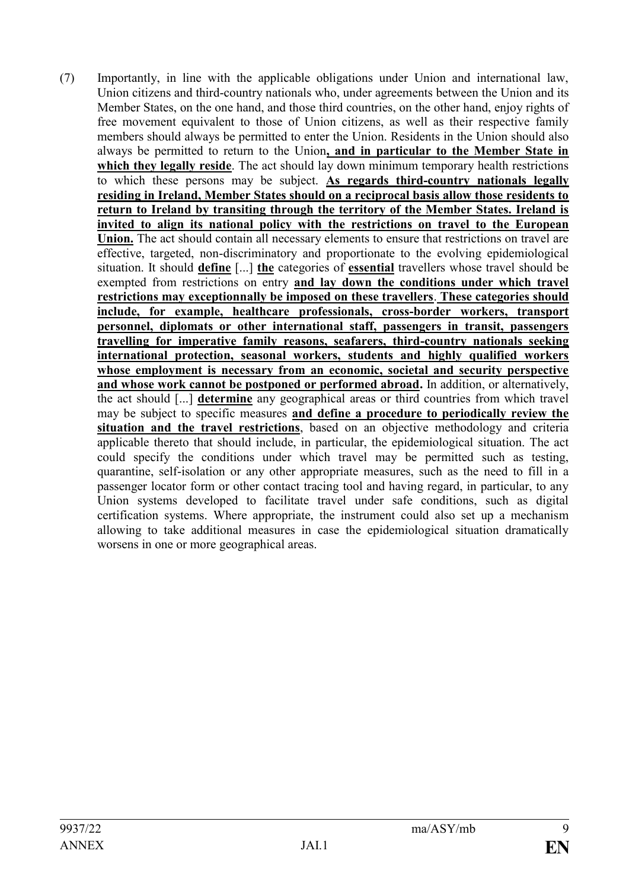(7) Importantly, in line with the applicable obligations under Union and international law, Union citizens and third-country nationals who, under agreements between the Union and its Member States, on the one hand, and those third countries, on the other hand, enjoy rights of free movement equivalent to those of Union citizens, as well as their respective family members should always be permitted to enter the Union. Residents in the Union should also always be permitted to return to the Union**, and in particular to the Member State in which they legally reside**. The act should lay down minimum temporary health restrictions to which these persons may be subject. **As regards third-country nationals legally residing in Ireland, Member States should on a reciprocal basis allow those residents to return to Ireland by transiting through the territory of the Member States. Ireland is invited to align its national policy with the restrictions on travel to the European Union.** The act should contain all necessary elements to ensure that restrictions on travel are effective, targeted, non-discriminatory and proportionate to the evolving epidemiological situation. It should **define** [...] **the** categories of **essential** travellers whose travel should be exempted from restrictions on entry **and lay down the conditions under which travel restrictions may exceptionnally be imposed on these travellers**. **These categories should include, for example, healthcare professionals, cross-border workers, transport personnel, diplomats or other international staff, passengers in transit, passengers travelling for imperative family reasons, seafarers, third-country nationals seeking international protection, seasonal workers, students and highly qualified workers whose employment is necessary from an economic, societal and security perspective and whose work cannot be postponed or performed abroad.** In addition, or alternatively, the act should [...] **determine** any geographical areas or third countries from which travel may be subject to specific measures **and define a procedure to periodically review the situation and the travel restrictions**, based on an objective methodology and criteria applicable thereto that should include, in particular, the epidemiological situation. The act could specify the conditions under which travel may be permitted such as testing, quarantine, self-isolation or any other appropriate measures, such as the need to fill in a passenger locator form or other contact tracing tool and having regard, in particular, to any Union systems developed to facilitate travel under safe conditions, such as digital certification systems. Where appropriate, the instrument could also set up a mechanism allowing to take additional measures in case the epidemiological situation dramatically worsens in one or more geographical areas.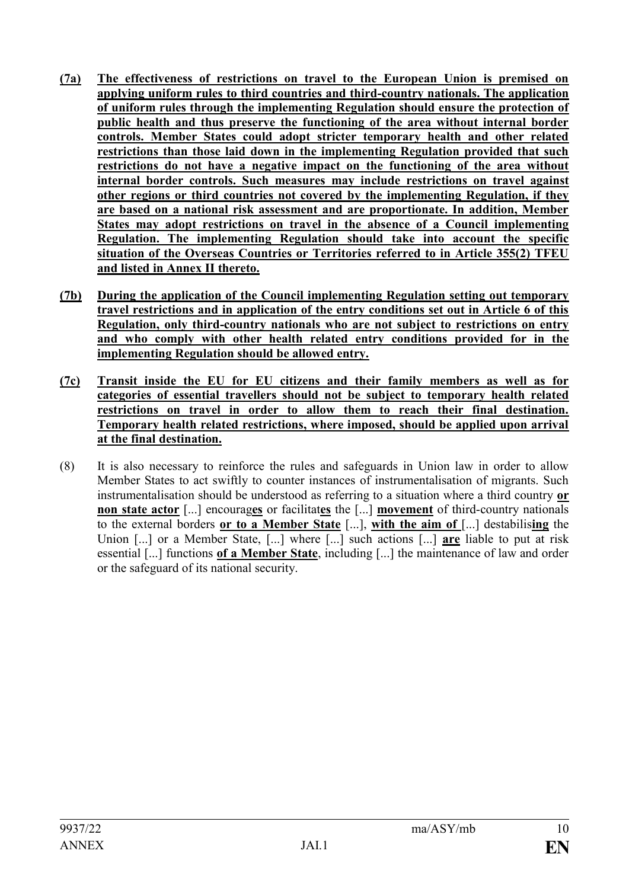- **(7a) The effectiveness of restrictions on travel to the European Union is premised on applying uniform rules to third countries and third-country nationals. The application of uniform rules through the implementing Regulation should ensure the protection of public health and thus preserve the functioning of the area without internal border controls. Member States could adopt stricter temporary health and other related restrictions than those laid down in the implementing Regulation provided that such restrictions do not have a negative impact on the functioning of the area without internal border controls. Such measures may include restrictions on travel against other regions or third countries not covered by the implementing Regulation, if they are based on a national risk assessment and are proportionate. In addition, Member States may adopt restrictions on travel in the absence of a Council implementing Regulation. The implementing Regulation should take into account the specific situation of the Overseas Countries or Territories referred to in Article 355(2) TFEU and listed in Annex II thereto.**
- **(7b) During the application of the Council implementing Regulation setting out temporary travel restrictions and in application of the entry conditions set out in Article 6 of this Regulation, only third-country nationals who are not subject to restrictions on entry and who comply with other health related entry conditions provided for in the implementing Regulation should be allowed entry.**
- **(7c) Transit inside the EU for EU citizens and their family members as well as for categories of essential travellers should not be subject to temporary health related restrictions on travel in order to allow them to reach their final destination. Temporary health related restrictions, where imposed, should be applied upon arrival at the final destination.**
- (8) It is also necessary to reinforce the rules and safeguards in Union law in order to allow Member States to act swiftly to counter instances of instrumentalisation of migrants. Such instrumentalisation should be understood as referring to a situation where a third country **or non state actor** [...] encourages or facilitates the [...] **movement** of third-country nationals to the external borders **or to a Member State** [...], **with the aim of** [...] destabilis**ing** the Union [...] or a Member State, [...] where [...] such actions [...] **are** liable to put at risk essential [...] functions **of a Member State**, including [...] the maintenance of law and order or the safeguard of its national security.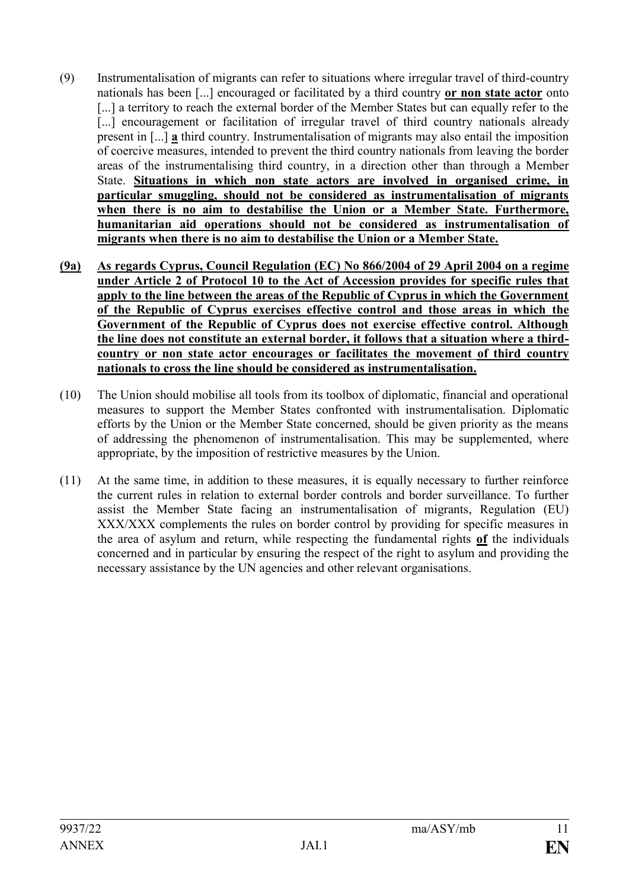- (9) Instrumentalisation of migrants can refer to situations where irregular travel of third-country nationals has been [...] encouraged or facilitated by a third country **or non state actor** onto [...] a territory to reach the external border of the Member States but can equally refer to the [...] encouragement or facilitation of irregular travel of third country nationals already present in [...] **a** third country. Instrumentalisation of migrants may also entail the imposition of coercive measures, intended to prevent the third country nationals from leaving the border areas of the instrumentalising third country, in a direction other than through a Member State. **Situations in which non state actors are involved in organised crime, in particular smuggling, should not be considered as instrumentalisation of migrants when there is no aim to destabilise the Union or a Member State. Furthermore, humanitarian aid operations should not be considered as instrumentalisation of migrants when there is no aim to destabilise the Union or a Member State.**
- **(9a) As regards Cyprus, Council Regulation (EC) No 866/2004 of 29 April 2004 on a regime under Article 2 of Protocol 10 to the Act of Accession provides for specific rules that apply to the line between the areas of the Republic of Cyprus in which the Government of the Republic of Cyprus exercises effective control and those areas in which the Government of the Republic of Cyprus does not exercise effective control. Although the line does not constitute an external border, it follows that a situation where a thirdcountry or non state actor encourages or facilitates the movement of third country nationals to cross the line should be considered as instrumentalisation.**
- (10) The Union should mobilise all tools from its toolbox of diplomatic, financial and operational measures to support the Member States confronted with instrumentalisation. Diplomatic efforts by the Union or the Member State concerned, should be given priority as the means of addressing the phenomenon of instrumentalisation. This may be supplemented, where appropriate, by the imposition of restrictive measures by the Union.
- (11) At the same time, in addition to these measures, it is equally necessary to further reinforce the current rules in relation to external border controls and border surveillance. To further assist the Member State facing an instrumentalisation of migrants, Regulation (EU) XXX/XXX complements the rules on border control by providing for specific measures in the area of asylum and return, while respecting the fundamental rights **of** the individuals concerned and in particular by ensuring the respect of the right to asylum and providing the necessary assistance by the UN agencies and other relevant organisations.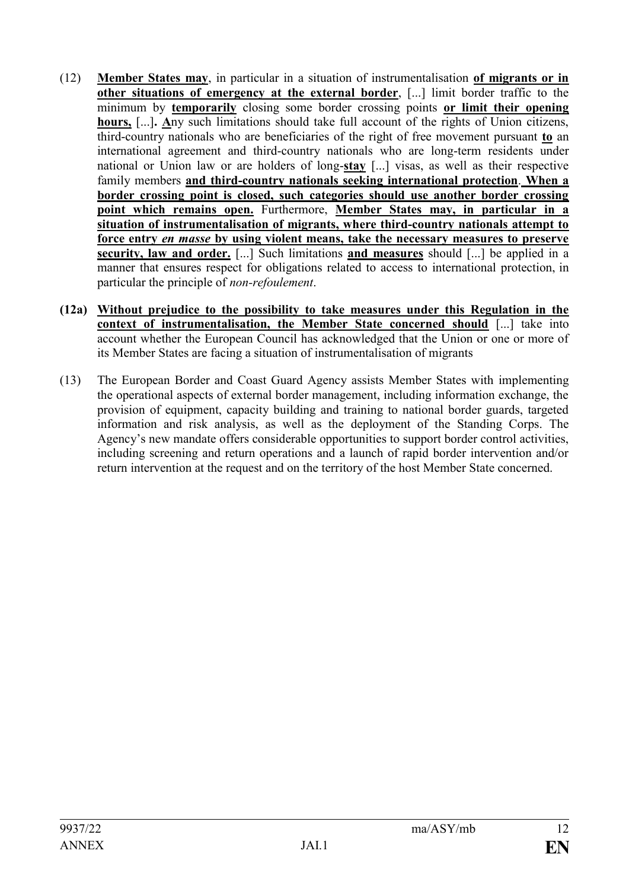- (12) **Member States may**, in particular in a situation of instrumentalisation **of migrants or in other situations of emergency at the external border**, [...] limit border traffic to the minimum by **temporarily** closing some border crossing points **or limit their opening hours,** [...]**. A**ny such limitations should take full account of the rights of Union citizens, third-country nationals who are beneficiaries of the right of free movement pursuant **to** an international agreement and third-country nationals who are long-term residents under national or Union law or are holders of long-**stay** [...] visas, as well as their respective family members **and third-country nationals seeking international protection**. **When a border crossing point is closed, such categories should use another border crossing point which remains open.** Furthermore, **Member States may, in particular in a situation of instrumentalisation of migrants, where third-country nationals attempt to force entry** *en masse* **by using violent means, take the necessary measures to preserve security, law and order.** [...] Such limitations **and measures** should [...] be applied in a manner that ensures respect for obligations related to access to international protection, in particular the principle of *non-refoulement*.
- **(12a) Without prejudice to the possibility to take measures under this Regulation in the context of instrumentalisation, the Member State concerned should** [...] take into account whether the European Council has acknowledged that the Union or one or more of its Member States are facing a situation of instrumentalisation of migrants
- (13) The European Border and Coast Guard Agency assists Member States with implementing the operational aspects of external border management, including information exchange, the provision of equipment, capacity building and training to national border guards, targeted information and risk analysis, as well as the deployment of the Standing Corps. The Agency's new mandate offers considerable opportunities to support border control activities, including screening and return operations and a launch of rapid border intervention and/or return intervention at the request and on the territory of the host Member State concerned.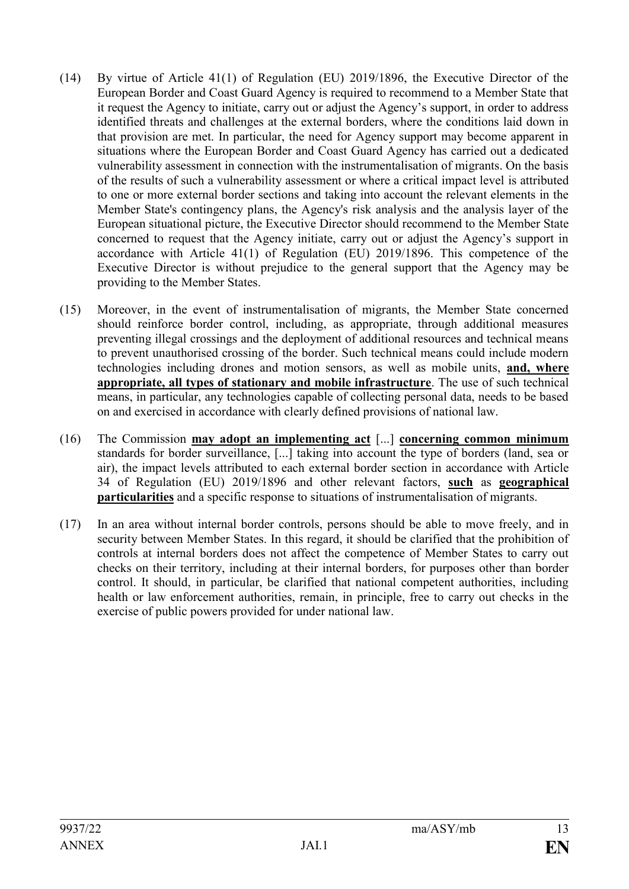- (14) By virtue of Article 41(1) of Regulation (EU) 2019/1896, the Executive Director of the European Border and Coast Guard Agency is required to recommend to a Member State that it request the Agency to initiate, carry out or adjust the Agency's support, in order to address identified threats and challenges at the external borders, where the conditions laid down in that provision are met. In particular, the need for Agency support may become apparent in situations where the European Border and Coast Guard Agency has carried out a dedicated vulnerability assessment in connection with the instrumentalisation of migrants. On the basis of the results of such a vulnerability assessment or where a critical impact level is attributed to one or more external border sections and taking into account the relevant elements in the Member State's contingency plans, the Agency's risk analysis and the analysis layer of the European situational picture, the Executive Director should recommend to the Member State concerned to request that the Agency initiate, carry out or adjust the Agency's support in accordance with Article 41(1) of Regulation (EU) 2019/1896. This competence of the Executive Director is without prejudice to the general support that the Agency may be providing to the Member States.
- (15) Moreover, in the event of instrumentalisation of migrants, the Member State concerned should reinforce border control, including, as appropriate, through additional measures preventing illegal crossings and the deployment of additional resources and technical means to prevent unauthorised crossing of the border. Such technical means could include modern technologies including drones and motion sensors, as well as mobile units, **and, where appropriate, all types of stationary and mobile infrastructure**. The use of such technical means, in particular, any technologies capable of collecting personal data, needs to be based on and exercised in accordance with clearly defined provisions of national law.
- (16) The Commission **may adopt an implementing act** [...] **concerning common minimum** standards for border surveillance, [...] taking into account the type of borders (land, sea or air), the impact levels attributed to each external border section in accordance with Article 34 of Regulation (EU) 2019/1896 and other relevant factors, **such** as **geographical particularities** and a specific response to situations of instrumentalisation of migrants.
- (17) In an area without internal border controls, persons should be able to move freely, and in security between Member States. In this regard, it should be clarified that the prohibition of controls at internal borders does not affect the competence of Member States to carry out checks on their territory, including at their internal borders, for purposes other than border control. It should, in particular, be clarified that national competent authorities, including health or law enforcement authorities, remain, in principle, free to carry out checks in the exercise of public powers provided for under national law.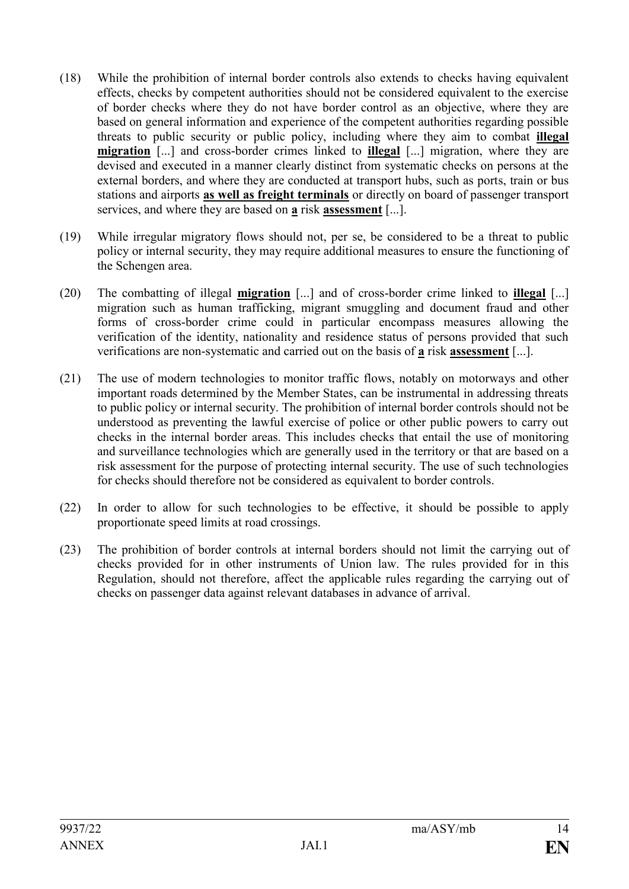- (18) While the prohibition of internal border controls also extends to checks having equivalent effects, checks by competent authorities should not be considered equivalent to the exercise of border checks where they do not have border control as an objective, where they are based on general information and experience of the competent authorities regarding possible threats to public security or public policy, including where they aim to combat **illegal migration** [...] and cross-border crimes linked to **illegal** [...] migration, where they are devised and executed in a manner clearly distinct from systematic checks on persons at the external borders, and where they are conducted at transport hubs, such as ports, train or bus stations and airports **as well as freight terminals** or directly on board of passenger transport services, and where they are based on **a** risk **assessment** [...].
- (19) While irregular migratory flows should not, per se, be considered to be a threat to public policy or internal security, they may require additional measures to ensure the functioning of the Schengen area.
- (20) The combatting of illegal **migration** [...] and of cross-border crime linked to **illegal** [...] migration such as human trafficking, migrant smuggling and document fraud and other forms of cross-border crime could in particular encompass measures allowing the verification of the identity, nationality and residence status of persons provided that such verifications are non-systematic and carried out on the basis of **a** risk **assessment** [...].
- (21) The use of modern technologies to monitor traffic flows, notably on motorways and other important roads determined by the Member States, can be instrumental in addressing threats to public policy or internal security. The prohibition of internal border controls should not be understood as preventing the lawful exercise of police or other public powers to carry out checks in the internal border areas. This includes checks that entail the use of monitoring and surveillance technologies which are generally used in the territory or that are based on a risk assessment for the purpose of protecting internal security. The use of such technologies for checks should therefore not be considered as equivalent to border controls.
- (22) In order to allow for such technologies to be effective, it should be possible to apply proportionate speed limits at road crossings.
- (23) The prohibition of border controls at internal borders should not limit the carrying out of checks provided for in other instruments of Union law. The rules provided for in this Regulation, should not therefore, affect the applicable rules regarding the carrying out of checks on passenger data against relevant databases in advance of arrival.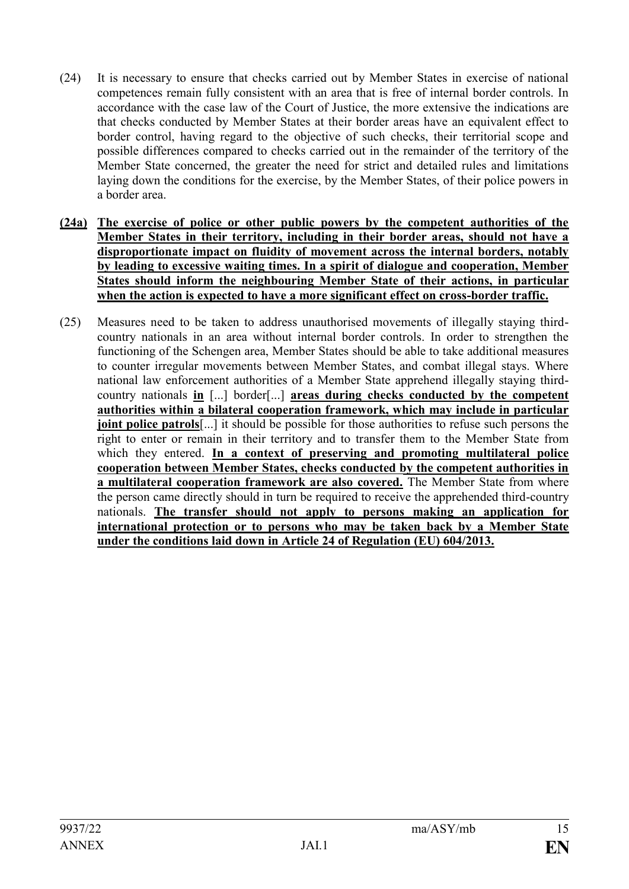- (24) It is necessary to ensure that checks carried out by Member States in exercise of national competences remain fully consistent with an area that is free of internal border controls. In accordance with the case law of the Court of Justice, the more extensive the indications are that checks conducted by Member States at their border areas have an equivalent effect to border control, having regard to the objective of such checks, their territorial scope and possible differences compared to checks carried out in the remainder of the territory of the Member State concerned, the greater the need for strict and detailed rules and limitations laying down the conditions for the exercise, by the Member States, of their police powers in a border area.
- **(24a) The exercise of police or other public powers by the competent authorities of the Member States in their territory, including in their border areas, should not have a disproportionate impact on fluidity of movement across the internal borders, notably by leading to excessive waiting times. In a spirit of dialogue and cooperation, Member States should inform the neighbouring Member State of their actions, in particular when the action is expected to have a more significant effect on cross-border traffic.**
- (25) Measures need to be taken to address unauthorised movements of illegally staying thirdcountry nationals in an area without internal border controls. In order to strengthen the functioning of the Schengen area, Member States should be able to take additional measures to counter irregular movements between Member States, and combat illegal stays. Where national law enforcement authorities of a Member State apprehend illegally staying thirdcountry nationals **in** [...] border[...] **areas during checks conducted by the competent authorities within a bilateral cooperation framework, which may include in particular joint police patrols**[...] it should be possible for those authorities to refuse such persons the right to enter or remain in their territory and to transfer them to the Member State from which they entered. **In a context of preserving and promoting multilateral police cooperation between Member States, checks conducted by the competent authorities in a multilateral cooperation framework are also covered.** The Member State from where the person came directly should in turn be required to receive the apprehended third-country nationals. **The transfer should not apply to persons making an application for international protection or to persons who may be taken back by a Member State under the conditions laid down in Article 24 of Regulation (EU) 604/2013.**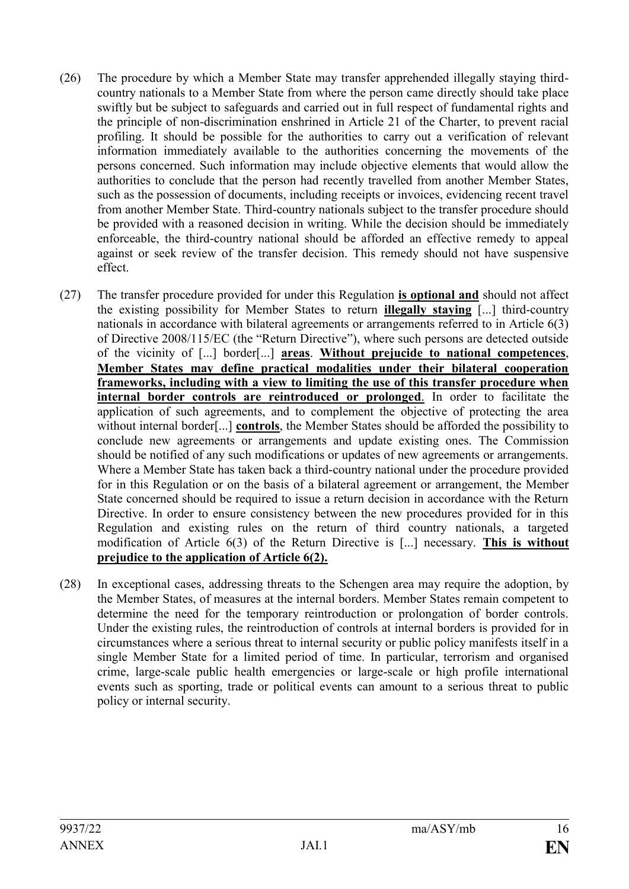- (26) The procedure by which a Member State may transfer apprehended illegally staying thirdcountry nationals to a Member State from where the person came directly should take place swiftly but be subject to safeguards and carried out in full respect of fundamental rights and the principle of non-discrimination enshrined in Article 21 of the Charter, to prevent racial profiling. It should be possible for the authorities to carry out a verification of relevant information immediately available to the authorities concerning the movements of the persons concerned. Such information may include objective elements that would allow the authorities to conclude that the person had recently travelled from another Member States, such as the possession of documents, including receipts or invoices, evidencing recent travel from another Member State. Third-country nationals subject to the transfer procedure should be provided with a reasoned decision in writing. While the decision should be immediately enforceable, the third-country national should be afforded an effective remedy to appeal against or seek review of the transfer decision. This remedy should not have suspensive effect.
- (27) The transfer procedure provided for under this Regulation **is optional and** should not affect the existing possibility for Member States to return **illegally staying** [...] third-country nationals in accordance with bilateral agreements or arrangements referred to in Article 6(3) of Directive 2008/115/EC (the "Return Directive"), where such persons are detected outside of the vicinity of [...] border[...] **areas**. **Without prejucide to national competences**, **Member States may define practical modalities under their bilateral cooperation frameworks, including with a view to limiting the use of this transfer procedure when internal border controls are reintroduced or prolonged**. In order to facilitate the application of such agreements, and to complement the objective of protecting the area without internal border[...] **controls**, the Member States should be afforded the possibility to conclude new agreements or arrangements and update existing ones. The Commission should be notified of any such modifications or updates of new agreements or arrangements. Where a Member State has taken back a third-country national under the procedure provided for in this Regulation or on the basis of a bilateral agreement or arrangement, the Member State concerned should be required to issue a return decision in accordance with the Return Directive. In order to ensure consistency between the new procedures provided for in this Regulation and existing rules on the return of third country nationals, a targeted modification of Article 6(3) of the Return Directive is [...] necessary. **This is without prejudice to the application of Article 6(2).**
- (28) In exceptional cases, addressing threats to the Schengen area may require the adoption, by the Member States, of measures at the internal borders. Member States remain competent to determine the need for the temporary reintroduction or prolongation of border controls. Under the existing rules, the reintroduction of controls at internal borders is provided for in circumstances where a serious threat to internal security or public policy manifests itself in a single Member State for a limited period of time. In particular, terrorism and organised crime, large-scale public health emergencies or large-scale or high profile international events such as sporting, trade or political events can amount to a serious threat to public policy or internal security.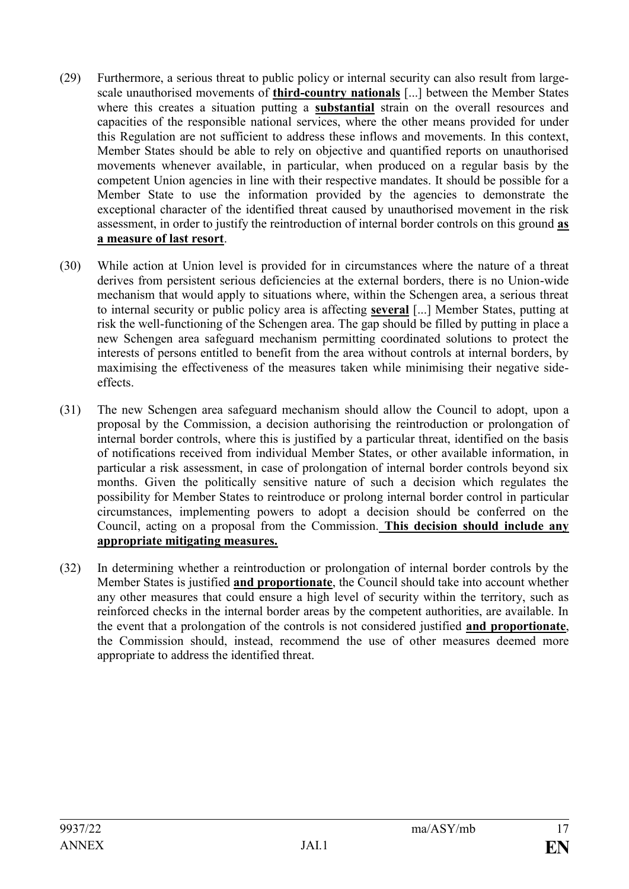- (29) Furthermore, a serious threat to public policy or internal security can also result from largescale unauthorised movements of **third-country nationals** [...] between the Member States where this creates a situation putting a **substantial** strain on the overall resources and capacities of the responsible national services, where the other means provided for under this Regulation are not sufficient to address these inflows and movements. In this context, Member States should be able to rely on objective and quantified reports on unauthorised movements whenever available, in particular, when produced on a regular basis by the competent Union agencies in line with their respective mandates. It should be possible for a Member State to use the information provided by the agencies to demonstrate the exceptional character of the identified threat caused by unauthorised movement in the risk assessment, in order to justify the reintroduction of internal border controls on this ground **as a measure of last resort**.
- (30) While action at Union level is provided for in circumstances where the nature of a threat derives from persistent serious deficiencies at the external borders, there is no Union-wide mechanism that would apply to situations where, within the Schengen area, a serious threat to internal security or public policy area is affecting **several** [...] Member States, putting at risk the well-functioning of the Schengen area. The gap should be filled by putting in place a new Schengen area safeguard mechanism permitting coordinated solutions to protect the interests of persons entitled to benefit from the area without controls at internal borders, by maximising the effectiveness of the measures taken while minimising their negative sideeffects.
- (31) The new Schengen area safeguard mechanism should allow the Council to adopt, upon a proposal by the Commission, a decision authorising the reintroduction or prolongation of internal border controls, where this is justified by a particular threat, identified on the basis of notifications received from individual Member States, or other available information, in particular a risk assessment, in case of prolongation of internal border controls beyond six months. Given the politically sensitive nature of such a decision which regulates the possibility for Member States to reintroduce or prolong internal border control in particular circumstances, implementing powers to adopt a decision should be conferred on the Council, acting on a proposal from the Commission. **This decision should include any appropriate mitigating measures.**
- (32) In determining whether a reintroduction or prolongation of internal border controls by the Member States is justified **and proportionate**, the Council should take into account whether any other measures that could ensure a high level of security within the territory, such as reinforced checks in the internal border areas by the competent authorities, are available. In the event that a prolongation of the controls is not considered justified **and proportionate**, the Commission should, instead, recommend the use of other measures deemed more appropriate to address the identified threat.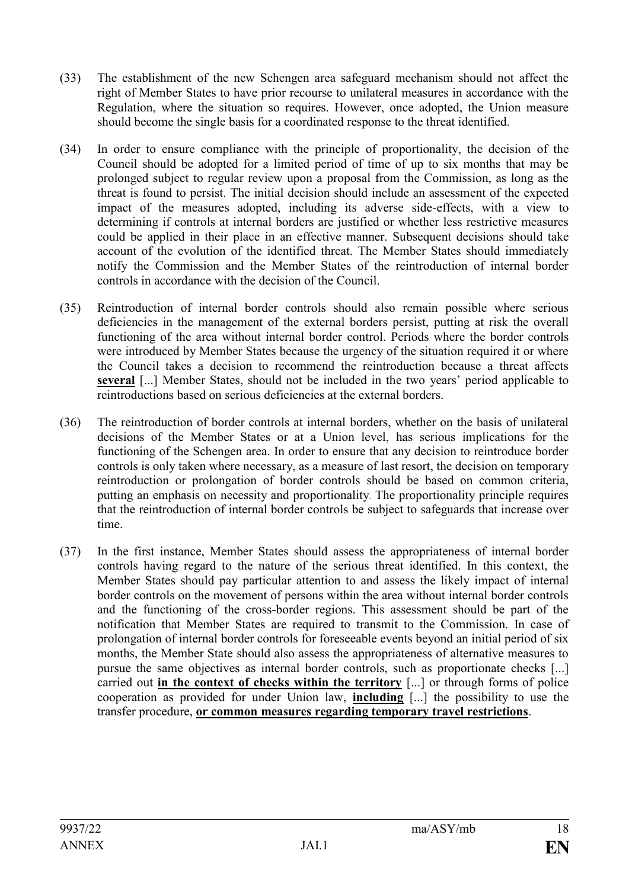- (33) The establishment of the new Schengen area safeguard mechanism should not affect the right of Member States to have prior recourse to unilateral measures in accordance with the Regulation, where the situation so requires. However, once adopted, the Union measure should become the single basis for a coordinated response to the threat identified.
- (34) In order to ensure compliance with the principle of proportionality, the decision of the Council should be adopted for a limited period of time of up to six months that may be prolonged subject to regular review upon a proposal from the Commission, as long as the threat is found to persist. The initial decision should include an assessment of the expected impact of the measures adopted, including its adverse side-effects, with a view to determining if controls at internal borders are justified or whether less restrictive measures could be applied in their place in an effective manner. Subsequent decisions should take account of the evolution of the identified threat. The Member States should immediately notify the Commission and the Member States of the reintroduction of internal border controls in accordance with the decision of the Council.
- (35) Reintroduction of internal border controls should also remain possible where serious deficiencies in the management of the external borders persist, putting at risk the overall functioning of the area without internal border control. Periods where the border controls were introduced by Member States because the urgency of the situation required it or where the Council takes a decision to recommend the reintroduction because a threat affects **several** [...] Member States, should not be included in the two years' period applicable to reintroductions based on serious deficiencies at the external borders.
- (36) The reintroduction of border controls at internal borders, whether on the basis of unilateral decisions of the Member States or at a Union level, has serious implications for the functioning of the Schengen area. In order to ensure that any decision to reintroduce border controls is only taken where necessary, as a measure of last resort, the decision on temporary reintroduction or prolongation of border controls should be based on common criteria, putting an emphasis on necessity and proportionality. The proportionality principle requires that the reintroduction of internal border controls be subject to safeguards that increase over time.
- (37) In the first instance, Member States should assess the appropriateness of internal border controls having regard to the nature of the serious threat identified. In this context, the Member States should pay particular attention to and assess the likely impact of internal border controls on the movement of persons within the area without internal border controls and the functioning of the cross-border regions. This assessment should be part of the notification that Member States are required to transmit to the Commission. In case of prolongation of internal border controls for foreseeable events beyond an initial period of six months, the Member State should also assess the appropriateness of alternative measures to pursue the same objectives as internal border controls, such as proportionate checks [...] carried out **in the context of checks within the territory** [...] or through forms of police cooperation as provided for under Union law, **including** [...] the possibility to use the transfer procedure, **or common measures regarding temporary travel restrictions**.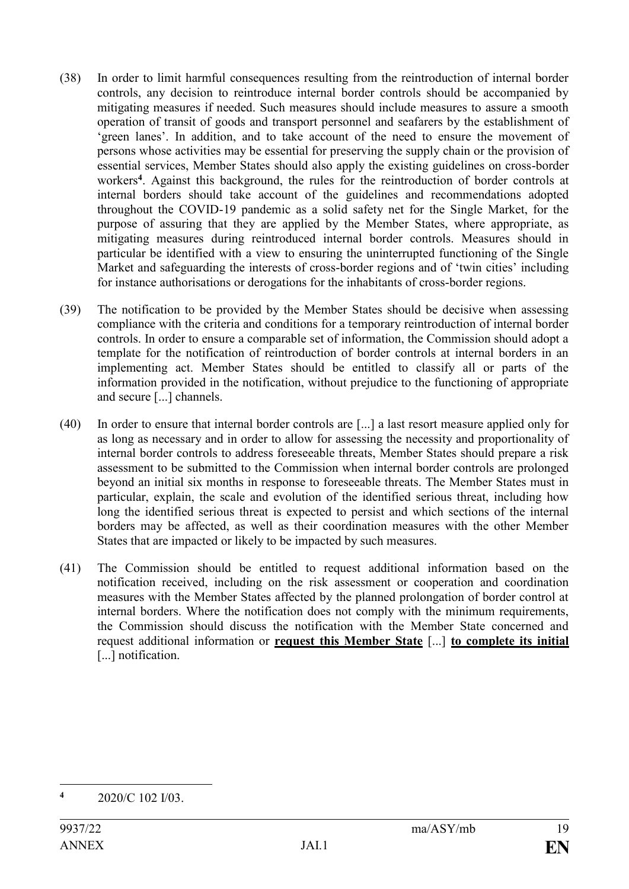- (38) In order to limit harmful consequences resulting from the reintroduction of internal border controls, any decision to reintroduce internal border controls should be accompanied by mitigating measures if needed. Such measures should include measures to assure a smooth operation of transit of goods and transport personnel and seafarers by the establishment of 'green lanes'. In addition, and to take account of the need to ensure the movement of persons whose activities may be essential for preserving the supply chain or the provision of essential services, Member States should also apply the existing guidelines on cross-border workers**<sup>4</sup>** . Against this background, the rules for the reintroduction of border controls at internal borders should take account of the guidelines and recommendations adopted throughout the COVID-19 pandemic as a solid safety net for the Single Market, for the purpose of assuring that they are applied by the Member States, where appropriate, as mitigating measures during reintroduced internal border controls. Measures should in particular be identified with a view to ensuring the uninterrupted functioning of the Single Market and safeguarding the interests of cross-border regions and of 'twin cities' including for instance authorisations or derogations for the inhabitants of cross-border regions.
- (39) The notification to be provided by the Member States should be decisive when assessing compliance with the criteria and conditions for a temporary reintroduction of internal border controls. In order to ensure a comparable set of information, the Commission should adopt a template for the notification of reintroduction of border controls at internal borders in an implementing act. Member States should be entitled to classify all or parts of the information provided in the notification, without prejudice to the functioning of appropriate and secure [...] channels.
- (40) In order to ensure that internal border controls are [...] a last resort measure applied only for as long as necessary and in order to allow for assessing the necessity and proportionality of internal border controls to address foreseeable threats, Member States should prepare a risk assessment to be submitted to the Commission when internal border controls are prolonged beyond an initial six months in response to foreseeable threats. The Member States must in particular, explain, the scale and evolution of the identified serious threat, including how long the identified serious threat is expected to persist and which sections of the internal borders may be affected, as well as their coordination measures with the other Member States that are impacted or likely to be impacted by such measures.
- (41) The Commission should be entitled to request additional information based on the notification received, including on the risk assessment or cooperation and coordination measures with the Member States affected by the planned prolongation of border control at internal borders. Where the notification does not comply with the minimum requirements, the Commission should discuss the notification with the Member State concerned and request additional information or **request this Member State** [...] **to complete its initial** [...] notification.

<sup>&</sup>lt;u>.</u> **<sup>4</sup>** 2020/C 102 I/03.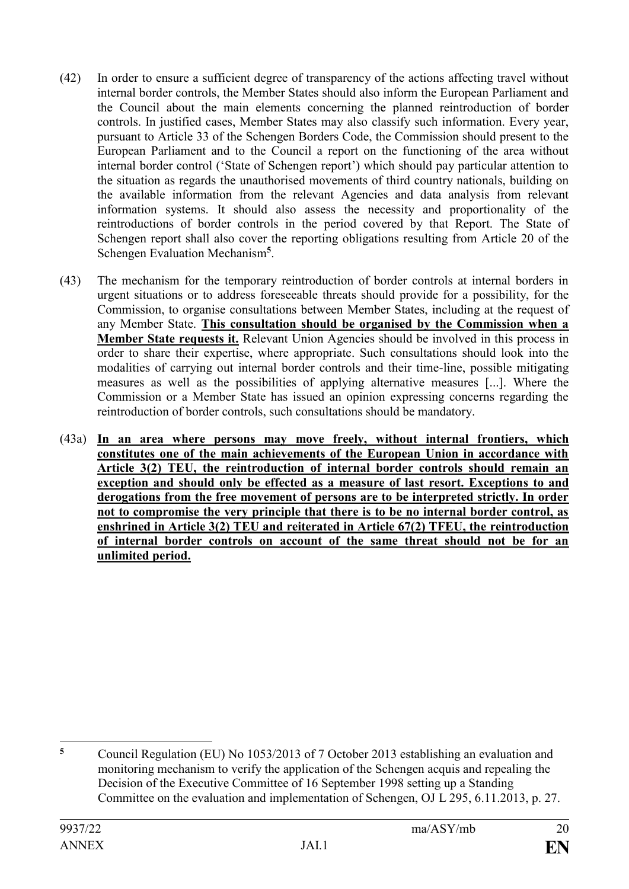- (42) In order to ensure a sufficient degree of transparency of the actions affecting travel without internal border controls, the Member States should also inform the European Parliament and the Council about the main elements concerning the planned reintroduction of border controls. In justified cases, Member States may also classify such information. Every year, pursuant to Article 33 of the Schengen Borders Code, the Commission should present to the European Parliament and to the Council a report on the functioning of the area without internal border control ('State of Schengen report') which should pay particular attention to the situation as regards the unauthorised movements of third country nationals, building on the available information from the relevant Agencies and data analysis from relevant information systems. It should also assess the necessity and proportionality of the reintroductions of border controls in the period covered by that Report. The State of Schengen report shall also cover the reporting obligations resulting from Article 20 of the Schengen Evaluation Mechanism**<sup>5</sup>** .
- (43) The mechanism for the temporary reintroduction of border controls at internal borders in urgent situations or to address foreseeable threats should provide for a possibility, for the Commission, to organise consultations between Member States, including at the request of any Member State. **This consultation should be organised by the Commission when a Member State requests it.** Relevant Union Agencies should be involved in this process in order to share their expertise, where appropriate. Such consultations should look into the modalities of carrying out internal border controls and their time-line, possible mitigating measures as well as the possibilities of applying alternative measures [...]. Where the Commission or a Member State has issued an opinion expressing concerns regarding the reintroduction of border controls, such consultations should be mandatory.
- (43a) **In an area where persons may move freely, without internal frontiers, which constitutes one of the main achievements of the European Union in accordance with Article 3(2) TEU, the reintroduction of internal border controls should remain an exception and should only be effected as a measure of last resort. Exceptions to and derogations from the free movement of persons are to be interpreted strictly. In order not to compromise the very principle that there is to be no internal border control, as enshrined in Article 3(2) TEU and reiterated in Article 67(2) TFEU, the reintroduction of internal border controls on account of the same threat should not be for an unlimited period.**

 $\overline{5}$ **<sup>5</sup>** Council Regulation (EU) No 1053/2013 of 7 October 2013 establishing an evaluation and monitoring mechanism to verify the application of the Schengen acquis and repealing the Decision of the Executive Committee of 16 September 1998 setting up a Standing Committee on the evaluation and implementation of Schengen, OJ L 295, 6.11.2013, p. 27.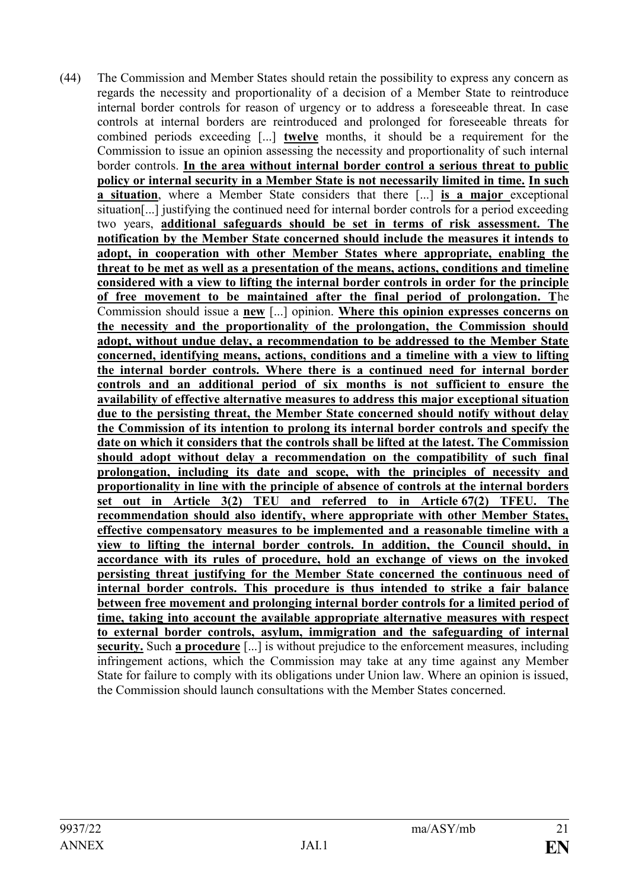(44) The Commission and Member States should retain the possibility to express any concern as regards the necessity and proportionality of a decision of a Member State to reintroduce internal border controls for reason of urgency or to address a foreseeable threat. In case controls at internal borders are reintroduced and prolonged for foreseeable threats for combined periods exceeding [...] **twelve** months, it should be a requirement for the Commission to issue an opinion assessing the necessity and proportionality of such internal border controls. **In the area without internal border control a serious threat to public policy or internal security in a Member State is not necessarily limited in time. In such a situation**, where a Member State considers that there [...] **is a major** exceptional situation[...] justifying the continued need for internal border controls for a period exceeding two years, **additional safeguards should be set in terms of risk assessment. The notification by the Member State concerned should include the measures it intends to adopt, in cooperation with other Member States where appropriate, enabling the threat to be met as well as a presentation of the means, actions, conditions and timeline considered with a view to lifting the internal border controls in order for the principle of free movement to be maintained after the final period of prolongation. T**he Commission should issue a **new** [...] opinion. **Where this opinion expresses concerns on the necessity and the proportionality of the prolongation, the Commission should adopt, without undue delay, a recommendation to be addressed to the Member State concerned, identifying means, actions, conditions and a timeline with a view to lifting the internal border controls. Where there is a continued need for internal border controls and an additional period of six months is not sufficient to ensure the availability of effective alternative measures to address this major exceptional situation due to the persisting threat, the Member State concerned should notify without delay the Commission of its intention to prolong its internal border controls and specify the date on which it considers that the controls shall be lifted at the latest. The Commission should adopt without delay a recommendation on the compatibility of such final prolongation, including its date and scope, with the principles of necessity and proportionality in line with the principle of absence of controls at the internal borders set out in Article 3(2) TEU and referred to in Article 67(2) TFEU. The recommendation should also identify, where appropriate with other Member States, effective compensatory measures to be implemented and a reasonable timeline with a view to lifting the internal border controls. In addition, the Council should, in accordance with its rules of procedure, hold an exchange of views on the invoked persisting threat justifying for the Member State concerned the continuous need of internal border controls. This procedure is thus intended to strike a fair balance between free movement and prolonging internal border controls for a limited period of time, taking into account the available appropriate alternative measures with respect to external border controls, asylum, immigration and the safeguarding of internal security.** Such **a procedure** [...] is without prejudice to the enforcement measures, including infringement actions, which the Commission may take at any time against any Member State for failure to comply with its obligations under Union law. Where an opinion is issued, the Commission should launch consultations with the Member States concerned.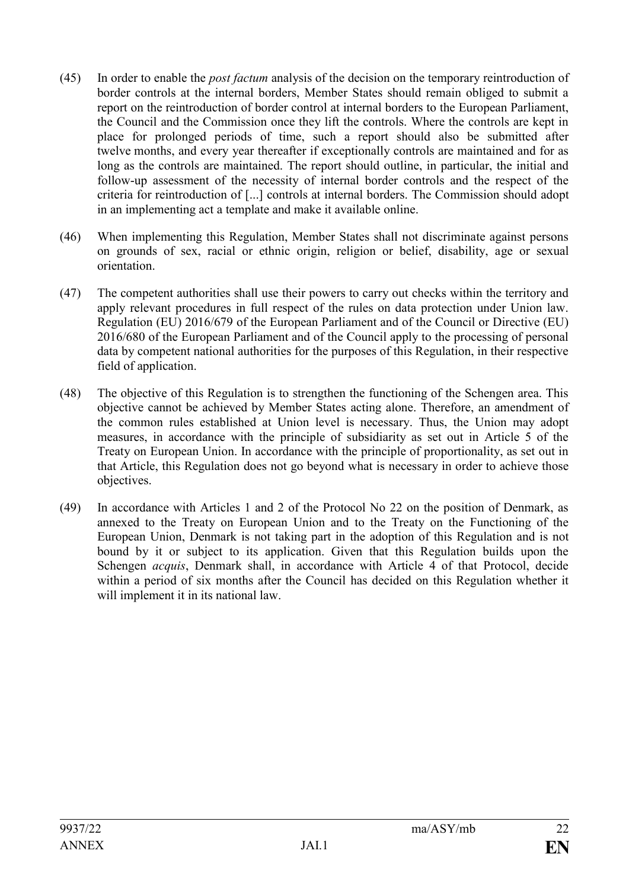- (45) In order to enable the *post factum* analysis of the decision on the temporary reintroduction of border controls at the internal borders, Member States should remain obliged to submit a report on the reintroduction of border control at internal borders to the European Parliament, the Council and the Commission once they lift the controls. Where the controls are kept in place for prolonged periods of time, such a report should also be submitted after twelve months, and every year thereafter if exceptionally controls are maintained and for as long as the controls are maintained. The report should outline, in particular, the initial and follow-up assessment of the necessity of internal border controls and the respect of the criteria for reintroduction of [...] controls at internal borders. The Commission should adopt in an implementing act a template and make it available online.
- (46) When implementing this Regulation, Member States shall not discriminate against persons on grounds of sex, racial or ethnic origin, religion or belief, disability, age or sexual orientation.
- (47) The competent authorities shall use their powers to carry out checks within the territory and apply relevant procedures in full respect of the rules on data protection under Union law. Regulation (EU) 2016/679 of the European Parliament and of the Council or Directive (EU) 2016/680 of the European Parliament and of the Council apply to the processing of personal data by competent national authorities for the purposes of this Regulation, in their respective field of application.
- (48) The objective of this Regulation is to strengthen the functioning of the Schengen area. This objective cannot be achieved by Member States acting alone. Therefore, an amendment of the common rules established at Union level is necessary. Thus, the Union may adopt measures, in accordance with the principle of subsidiarity as set out in Article 5 of the Treaty on European Union. In accordance with the principle of proportionality, as set out in that Article, this Regulation does not go beyond what is necessary in order to achieve those objectives.
- (49) In accordance with Articles 1 and 2 of the Protocol No 22 on the position of Denmark, as annexed to the Treaty on European Union and to the Treaty on the Functioning of the European Union, Denmark is not taking part in the adoption of this Regulation and is not bound by it or subject to its application. Given that this Regulation builds upon the Schengen *acquis*, Denmark shall, in accordance with Article 4 of that Protocol, decide within a period of six months after the Council has decided on this Regulation whether it will implement it in its national law.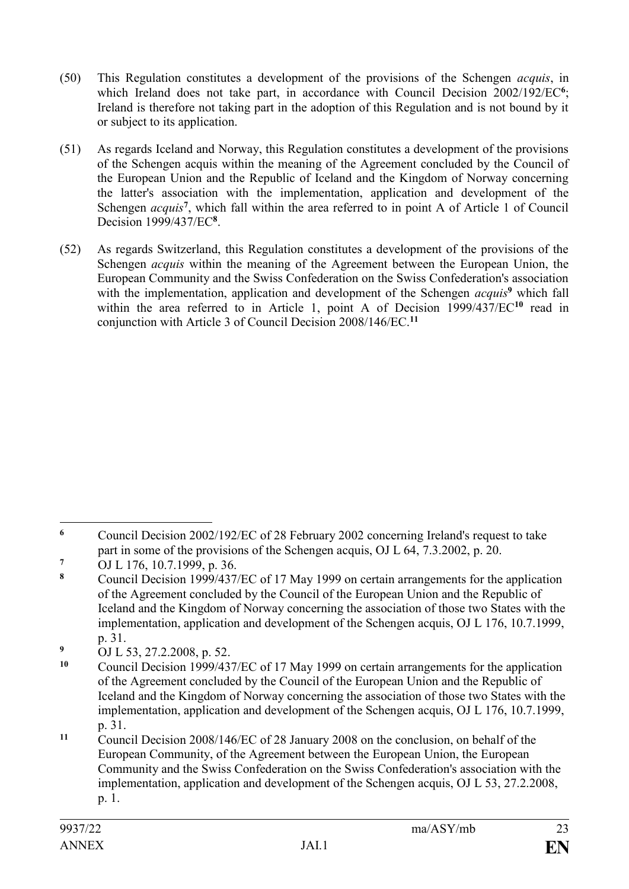- (50) This Regulation constitutes a development of the provisions of the Schengen *acquis*, in which Ireland does not take part, in accordance with Council Decision 2002/192/EC<sup>6</sup>; Ireland is therefore not taking part in the adoption of this Regulation and is not bound by it or subject to its application.
- (51) As regards Iceland and Norway, this Regulation constitutes a development of the provisions of the Schengen acquis within the meaning of the Agreement concluded by the Council of the European Union and the Republic of Iceland and the Kingdom of Norway concerning the latter's association with the implementation, application and development of the Schengen *acquis<sup>7</sup>*, which fall within the area referred to in point A of Article 1 of Council Decision 1999/437/EC**<sup>8</sup>** .
- (52) As regards Switzerland, this Regulation constitutes a development of the provisions of the Schengen *acquis* within the meaning of the Agreement between the European Union, the European Community and the Swiss Confederation on the Swiss Confederation's association with the implementation, application and development of the Schengen *acquis*<sup>9</sup> which fall within the area referred to in Article 1, point A of Decision 1999/437/EC**<sup>10</sup>** read in conjunction with Article 3 of Council Decision 2008/146/EC.**<sup>11</sup>**

<sup>1</sup> **<sup>6</sup>** Council Decision 2002/192/EC of 28 February 2002 concerning Ireland's request to take part in some of the provisions of the Schengen acquis, OJ L 64, 7.3.2002, p. 20.

<sup>&</sup>lt;sup>7</sup> OJ L 176, 10.7.1999, p. 36.

**<sup>8</sup>** Council Decision 1999/437/EC of 17 May 1999 on certain arrangements for the application of the Agreement concluded by the Council of the European Union and the Republic of Iceland and the Kingdom of Norway concerning the association of those two States with the implementation, application and development of the Schengen acquis, OJ L 176, 10.7.1999, p. 31.

<sup>&</sup>lt;sup>9</sup> OJ L 53, 27.2.2008, p. 52.<br><sup>10</sup> Council Decision 1000/43<sup>2</sup>

**<sup>10</sup>** Council Decision 1999/437/EC of 17 May 1999 on certain arrangements for the application of the Agreement concluded by the Council of the European Union and the Republic of Iceland and the Kingdom of Norway concerning the association of those two States with the implementation, application and development of the Schengen acquis, OJ L 176, 10.7.1999, p. 31.

**<sup>11</sup>** Council Decision 2008/146/EC of 28 January 2008 on the conclusion, on behalf of the European Community, of the Agreement between the European Union, the European Community and the Swiss Confederation on the Swiss Confederation's association with the implementation, application and development of the Schengen acquis, OJ L 53, 27.2.2008, p. 1.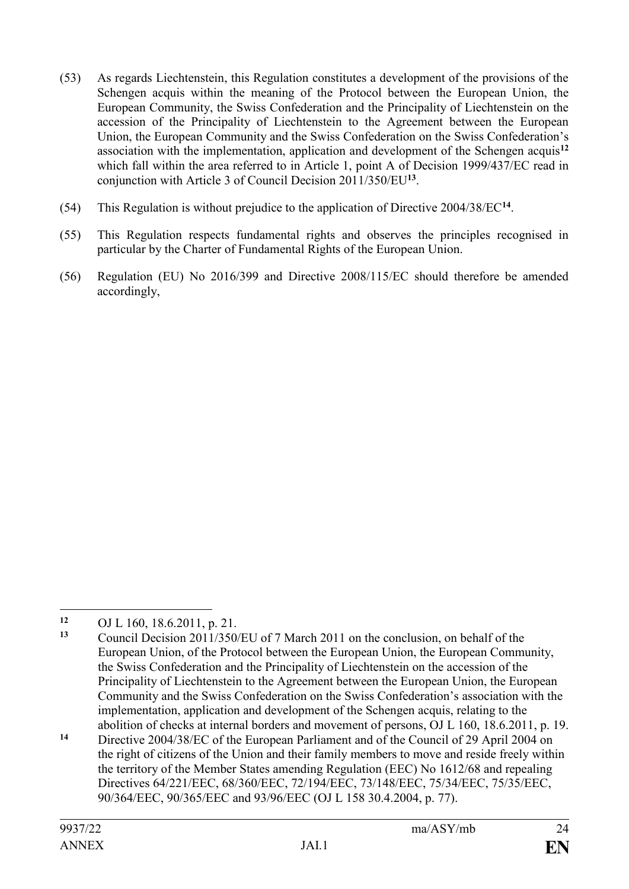- (53) As regards Liechtenstein, this Regulation constitutes a development of the provisions of the Schengen acquis within the meaning of the Protocol between the European Union, the European Community, the Swiss Confederation and the Principality of Liechtenstein on the accession of the Principality of Liechtenstein to the Agreement between the European Union, the European Community and the Swiss Confederation on the Swiss Confederation's association with the implementation, application and development of the Schengen acquis**<sup>12</sup>** which fall within the area referred to in Article 1, point A of Decision 1999/437/EC read in conjunction with Article 3 of Council Decision 2011/350/EU**<sup>13</sup>** .
- (54) This Regulation is without prejudice to the application of Directive 2004/38/EC**<sup>14</sup>** .
- (55) This Regulation respects fundamental rights and observes the principles recognised in particular by the Charter of Fundamental Rights of the European Union.
- (56) Regulation (EU) No 2016/399 and Directive 2008/115/EC should therefore be amended accordingly,

 $12$ **<sup>12</sup>** OJ L 160, 18.6.2011, p. 21.

**<sup>13</sup>** Council Decision 2011/350/EU of 7 March 2011 on the conclusion, on behalf of the European Union, of the Protocol between the European Union, the European Community, the Swiss Confederation and the Principality of Liechtenstein on the accession of the Principality of Liechtenstein to the Agreement between the European Union, the European Community and the Swiss Confederation on the Swiss Confederation's association with the implementation, application and development of the Schengen acquis, relating to the abolition of checks at internal borders and movement of persons, OJ L 160, 18.6.2011, p. 19.

**<sup>14</sup>** Directive 2004/38/EC of the European Parliament and of the Council of 29 April 2004 on the right of citizens of the Union and their family members to move and reside freely within the territory of the Member States amending Regulation (EEC) No 1612/68 and repealing Directives 64/221/EEC, 68/360/EEC, 72/194/EEC, 73/148/EEC, 75/34/EEC, 75/35/EEC, 90/364/EEC, 90/365/EEC and 93/96/EEC (OJ L 158 30.4.2004, p. 77).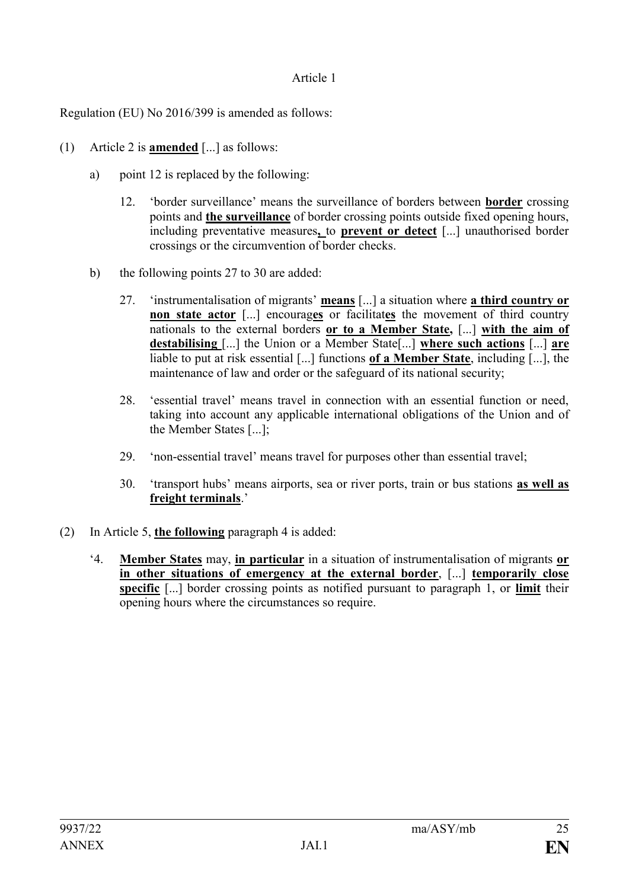### Article 1

Regulation (EU) No 2016/399 is amended as follows:

- (1) Article 2 is **amended** [...] as follows:
	- a) point 12 is replaced by the following:
		- 12. 'border surveillance' means the surveillance of borders between **border** crossing points and **the surveillance** of border crossing points outside fixed opening hours, including preventative measures**,** to **prevent or detect** [...] unauthorised border crossings or the circumvention of border checks.
	- b) the following points 27 to 30 are added:
		- 27. 'instrumentalisation of migrants' **means** [...] a situation where **a third country or non state actor** [...] encourages or facilitates the movement of third country nationals to the external borders **or to a Member State,** [...] **with the aim of destabilising** [...] the Union or a Member State[...] **where such actions** [...] **are** liable to put at risk essential [...] functions **of a Member State**, including [...], the maintenance of law and order or the safeguard of its national security;
		- 28. 'essential travel' means travel in connection with an essential function or need, taking into account any applicable international obligations of the Union and of the Member States [...];
		- 29. 'non-essential travel' means travel for purposes other than essential travel;
		- 30. 'transport hubs' means airports, sea or river ports, train or bus stations **as well as freight terminals**.'
- (2) In Article 5, **the following** paragraph 4 is added:
	- '4. **Member States** may, **in particular** in a situation of instrumentalisation of migrants **or in other situations of emergency at the external border**, [...] **temporarily close specific** [...] border crossing points as notified pursuant to paragraph 1, or **limit** their opening hours where the circumstances so require.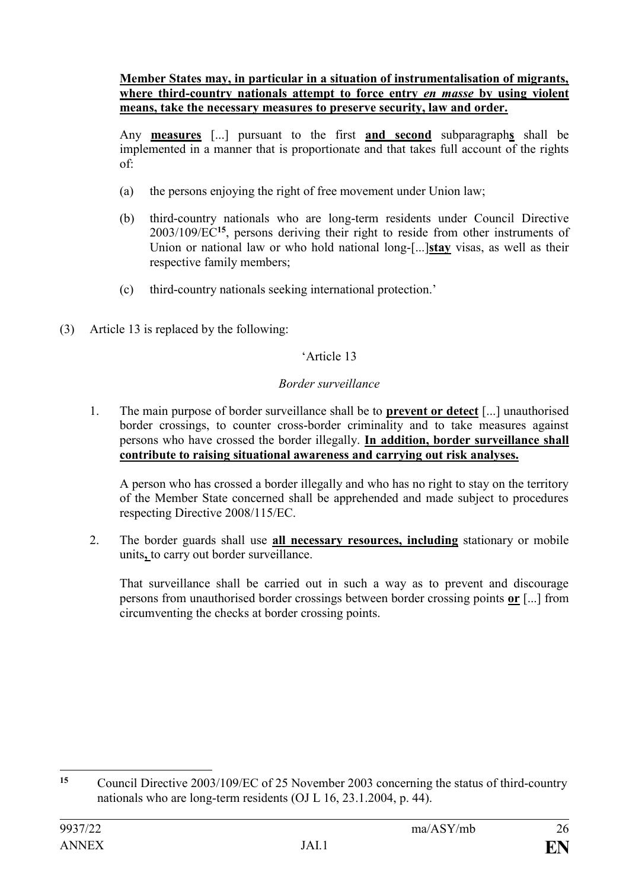#### **Member States may, in particular in a situation of instrumentalisation of migrants, where third-country nationals attempt to force entry** *en masse* **by using violent means, take the necessary measures to preserve security, law and order.**

Any **measures** [...] pursuant to the first **and second** subparagraph**s** shall be implemented in a manner that is proportionate and that takes full account of the rights of:

- (a) the persons enjoying the right of free movement under Union law;
- (b) third-country nationals who are long-term residents under Council Directive 2003/109/EC**<sup>15</sup>**, persons deriving their right to reside from other instruments of Union or national law or who hold national long-[...]**stay** visas, as well as their respective family members;
- (c) third-country nationals seeking international protection.'
- (3) Article 13 is replaced by the following:

# 'Article 13

### *Border surveillance*

1. The main purpose of border surveillance shall be to **prevent or detect** [...] unauthorised border crossings, to counter cross-border criminality and to take measures against persons who have crossed the border illegally. **In addition, border surveillance shall contribute to raising situational awareness and carrying out risk analyses.**

A person who has crossed a border illegally and who has no right to stay on the territory of the Member State concerned shall be apprehended and made subject to procedures respecting Directive 2008/115/EC.

2. The border guards shall use **all necessary resources, including** stationary or mobile units**,** to carry out border surveillance.

That surveillance shall be carried out in such a way as to prevent and discourage persons from unauthorised border crossings between border crossing points **or** [...] from circumventing the checks at border crossing points.

 $15$ **<sup>15</sup>** Council Directive 2003/109/EC of 25 November 2003 concerning the status of third-country nationals who are long-term residents (OJ L 16, 23.1.2004, p. 44).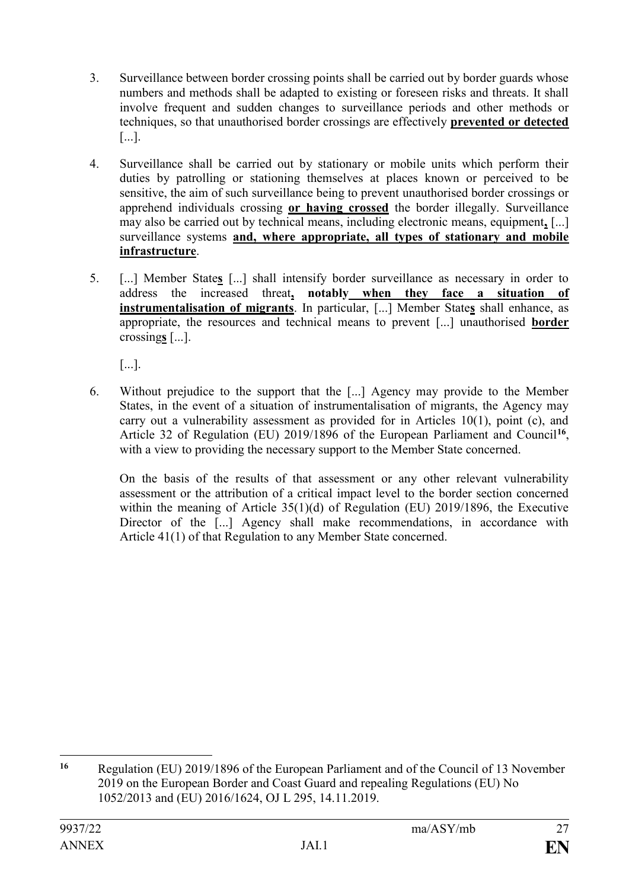- 3. Surveillance between border crossing points shall be carried out by border guards whose numbers and methods shall be adapted to existing or foreseen risks and threats. It shall involve frequent and sudden changes to surveillance periods and other methods or techniques, so that unauthorised border crossings are effectively **prevented or detected** [...].
- 4. Surveillance shall be carried out by stationary or mobile units which perform their duties by patrolling or stationing themselves at places known or perceived to be sensitive, the aim of such surveillance being to prevent unauthorised border crossings or apprehend individuals crossing **or having crossed** the border illegally. Surveillance may also be carried out by technical means, including electronic means, equipment**,** [...] surveillance systems **and, where appropriate, all types of stationary and mobile infrastructure**.
- 5. [...] Member State**s** [...] shall intensify border surveillance as necessary in order to address the increased threat**, notably when they face a situation of instrumentalisation of migrants**. In particular, [...] Member State**s** shall enhance, as appropriate, the resources and technical means to prevent [...] unauthorised **border** crossing**s** [...].

[...].

6. Without prejudice to the support that the [...] Agency may provide to the Member States, in the event of a situation of instrumentalisation of migrants, the Agency may carry out a vulnerability assessment as provided for in Articles 10(1), point (c), and Article 32 of Regulation (EU) 2019/1896 of the European Parliament and Council<sup>16</sup>, with a view to providing the necessary support to the Member State concerned.

On the basis of the results of that assessment or any other relevant vulnerability assessment or the attribution of a critical impact level to the border section concerned within the meaning of Article 35(1)(d) of Regulation (EU) 2019/1896, the Executive Director of the [...] Agency shall make recommendations, in accordance with Article 41(1) of that Regulation to any Member State concerned.

<sup>1</sup> **<sup>16</sup>** Regulation (EU) 2019/1896 of the European Parliament and of the Council of 13 November 2019 on the European Border and Coast Guard and repealing Regulations (EU) No 1052/2013 and (EU) 2016/1624, OJ L 295, 14.11.2019.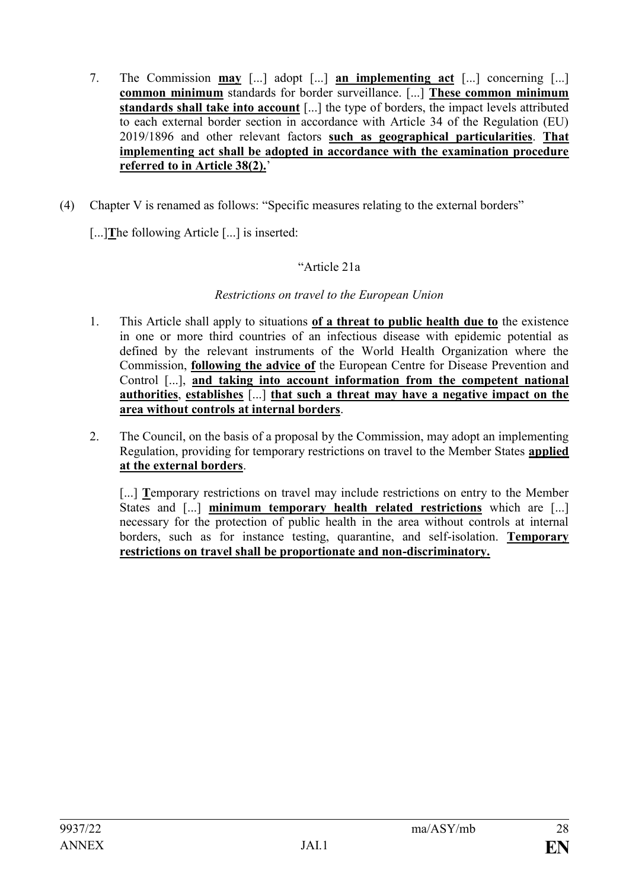- 7. The Commission **may** [...] adopt [...] **an implementing act** [...] concerning [...] **common minimum** standards for border surveillance. [...] **These common minimum standards shall take into account** [...] the type of borders, the impact levels attributed to each external border section in accordance with Article 34 of the Regulation (EU) 2019/1896 and other relevant factors **such as geographical particularities**. **That implementing act shall be adopted in accordance with the examination procedure referred to in Article 38(2).**'
- (4) Chapter V is renamed as follows: "Specific measures relating to the external borders"

[...]**T**he following Article [...] is inserted:

### "Article 21a

#### *Restrictions on travel to the European Union*

- 1. This Article shall apply to situations **of a threat to public health due to** the existence in one or more third countries of an infectious disease with epidemic potential as defined by the relevant instruments of the World Health Organization where the Commission, **following the advice of** the European Centre for Disease Prevention and Control [...], **and taking into account information from the competent national authorities**, **establishes** [...] **that such a threat may have a negative impact on the area without controls at internal borders**.
- 2. The Council, on the basis of a proposal by the Commission, may adopt an implementing Regulation, providing for temporary restrictions on travel to the Member States **applied at the external borders**.

[...] **Temporary restrictions on travel may include restrictions on entry to the Member** States and [...] **minimum temporary health related restrictions** which are [...] necessary for the protection of public health in the area without controls at internal borders, such as for instance testing, quarantine, and self-isolation. **Temporary restrictions on travel shall be proportionate and non-discriminatory.**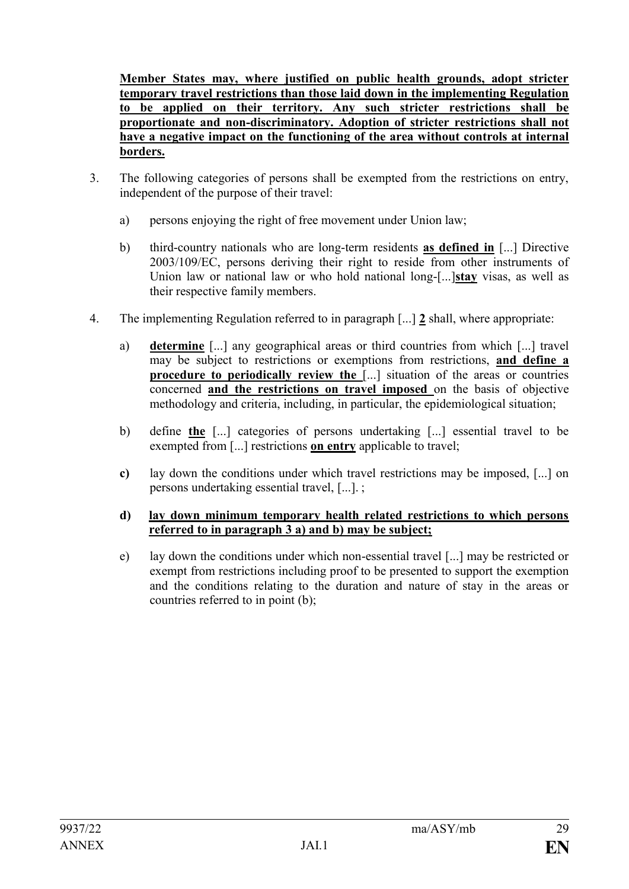**Member States may, where justified on public health grounds, adopt stricter temporary travel restrictions than those laid down in the implementing Regulation to be applied on their territory. Any such stricter restrictions shall be proportionate and non-discriminatory. Adoption of stricter restrictions shall not have a negative impact on the functioning of the area without controls at internal borders.**

- 3. The following categories of persons shall be exempted from the restrictions on entry, independent of the purpose of their travel:
	- a) persons enjoying the right of free movement under Union law;
	- b) third-country nationals who are long-term residents **as defined in** [...] Directive 2003/109/EC, persons deriving their right to reside from other instruments of Union law or national law or who hold national long-[...]**stay** visas, as well as their respective family members.
- 4. The implementing Regulation referred to in paragraph [...] **2** shall, where appropriate:
	- a) **determine** [...] any geographical areas or third countries from which [...] travel may be subject to restrictions or exemptions from restrictions, **and define a procedure to periodically review the [...]** situation of the areas or countries concerned **and the restrictions on travel imposed** on the basis of objective methodology and criteria, including, in particular, the epidemiological situation;
	- b) define **the** [...] categories of persons undertaking [...] essential travel to be exempted from [...] restrictions **on entry** applicable to travel;
	- **c)** lay down the conditions under which travel restrictions may be imposed, [...] on persons undertaking essential travel, [...]. ;

#### **d) lay down minimum temporary health related restrictions to which persons referred to in paragraph 3 a) and b) may be subject;**

e) lay down the conditions under which non-essential travel [...] may be restricted or exempt from restrictions including proof to be presented to support the exemption and the conditions relating to the duration and nature of stay in the areas or countries referred to in point (b);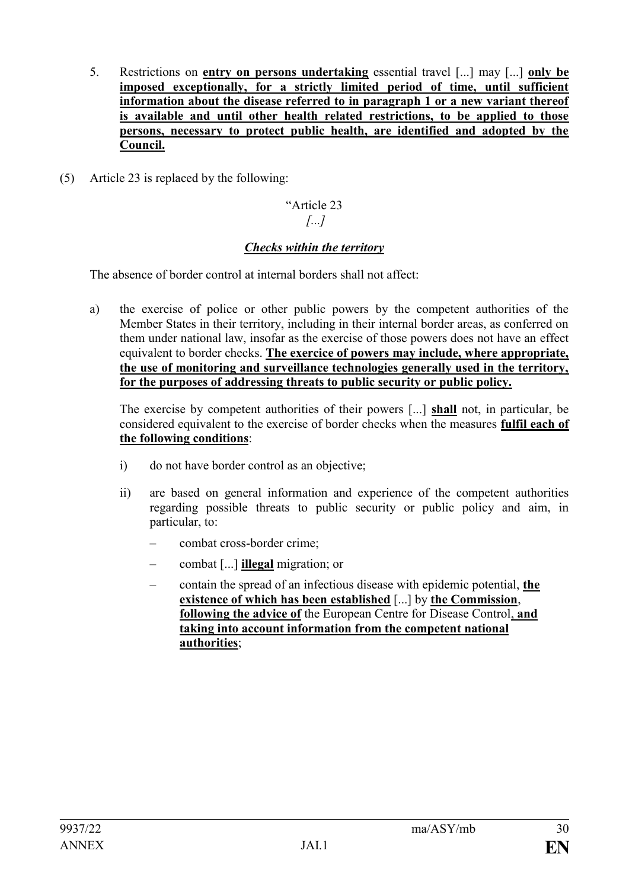- 5. Restrictions on **entry on persons undertaking** essential travel [...] may [...] **only be imposed exceptionally, for a strictly limited period of time, until sufficient information about the disease referred to in paragraph 1 or a new variant thereof is available and until other health related restrictions, to be applied to those persons, necessary to protect public health, are identified and adopted by the Council.**
- (5) Article 23 is replaced by the following:

### "Article 23 *[...]*

# *Checks within the territory*

The absence of border control at internal borders shall not affect:

a) the exercise of police or other public powers by the competent authorities of the Member States in their territory, including in their internal border areas, as conferred on them under national law, insofar as the exercise of those powers does not have an effect equivalent to border checks. **The exercice of powers may include, where appropriate, the use of monitoring and surveillance technologies generally used in the territory, for the purposes of addressing threats to public security or public policy.**

The exercise by competent authorities of their powers [...] **shall** not, in particular, be considered equivalent to the exercise of border checks when the measures **fulfil each of the following conditions**:

- i) do not have border control as an objective;
- ii) are based on general information and experience of the competent authorities regarding possible threats to public security or public policy and aim, in particular, to:
	- combat cross-border crime;
	- combat [...] **illegal** migration; or
	- contain the spread of an infectious disease with epidemic potential, **the existence of which has been established** [...] by **the Commission**, **following the advice of** the European Centre for Disease Control, **and taking into account information from the competent national authorities**;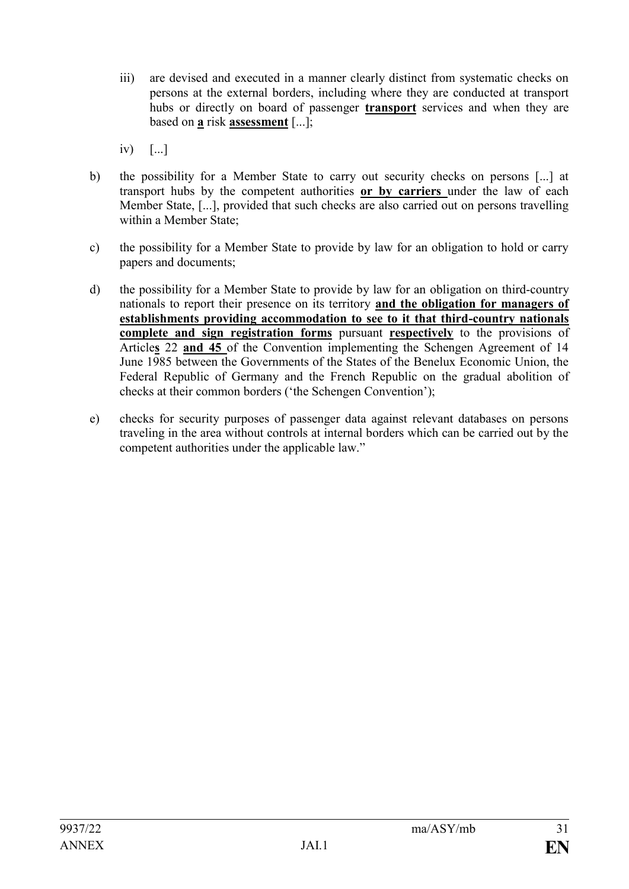- iii) are devised and executed in a manner clearly distinct from systematic checks on persons at the external borders, including where they are conducted at transport hubs or directly on board of passenger **transport** services and when they are based on **a** risk **assessment** [...];
- iv) [...]
- b) the possibility for a Member State to carry out security checks on persons [...] at transport hubs by the competent authorities **or by carriers** under the law of each Member State, [...], provided that such checks are also carried out on persons travelling within a Member State:
- c) the possibility for a Member State to provide by law for an obligation to hold or carry papers and documents;
- d) the possibility for a Member State to provide by law for an obligation on third-country nationals to report their presence on its territory **and the obligation for managers of establishments providing accommodation to see to it that third-country nationals complete and sign registration forms** pursuant **respectively** to the provisions of Article**s** 22 **and 45** of the Convention implementing the Schengen Agreement of 14 June 1985 between the Governments of the States of the Benelux Economic Union, the Federal Republic of Germany and the French Republic on the gradual abolition of checks at their common borders ('the Schengen Convention');
- e) checks for security purposes of passenger data against relevant databases on persons traveling in the area without controls at internal borders which can be carried out by the competent authorities under the applicable law."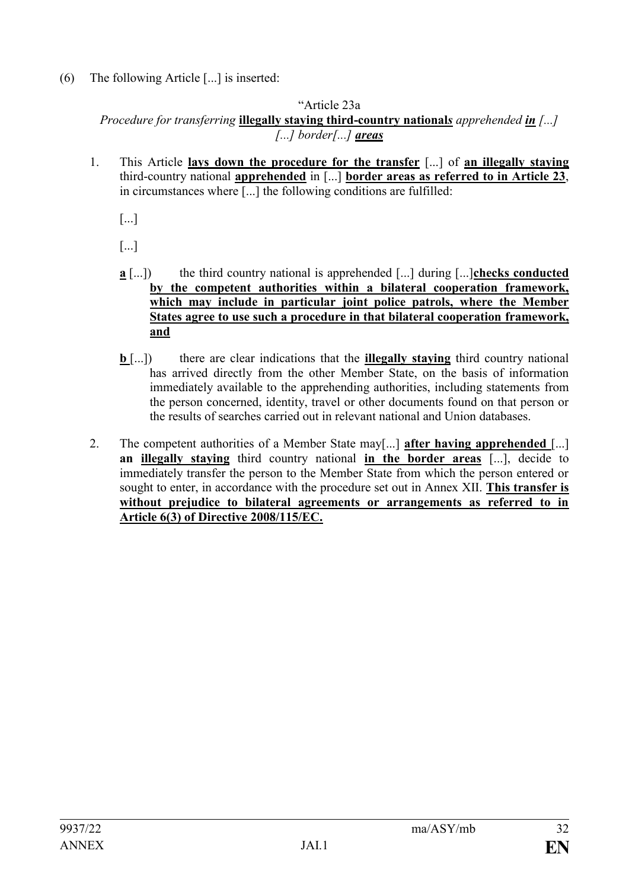(6) The following Article [...] is inserted:

"Article 23a

*Procedure for transferring* **illegally staying third-country national***s apprehended in [...] [...] border[...] areas*

1. This Article **lays down the procedure for the transfer** [...] of **an illegally staying** third-country national **apprehended** in [...] **border areas as referred to in Article 23**, in circumstances where [...] the following conditions are fulfilled:

[...]

[...]

- **a** [...]) the third country national is apprehended [...] during [...]**checks conducted by the competent authorities within a bilateral cooperation framework, which may include in particular joint police patrols, where the Member States agree to use such a procedure in that bilateral cooperation framework, and**
- **b** [...]) there are clear indications that the **illegally staying** third country national has arrived directly from the other Member State, on the basis of information immediately available to the apprehending authorities, including statements from the person concerned, identity, travel or other documents found on that person or the results of searches carried out in relevant national and Union databases.
- 2. The competent authorities of a Member State may[...] **after having apprehended** [...] **an illegally staying** third country national **in the border areas** [...], decide to immediately transfer the person to the Member State from which the person entered or sought to enter, in accordance with the procedure set out in Annex XII. **This transfer is without prejudice to bilateral agreements or arrangements as referred to in Article 6(3) of Directive 2008/115/EC.**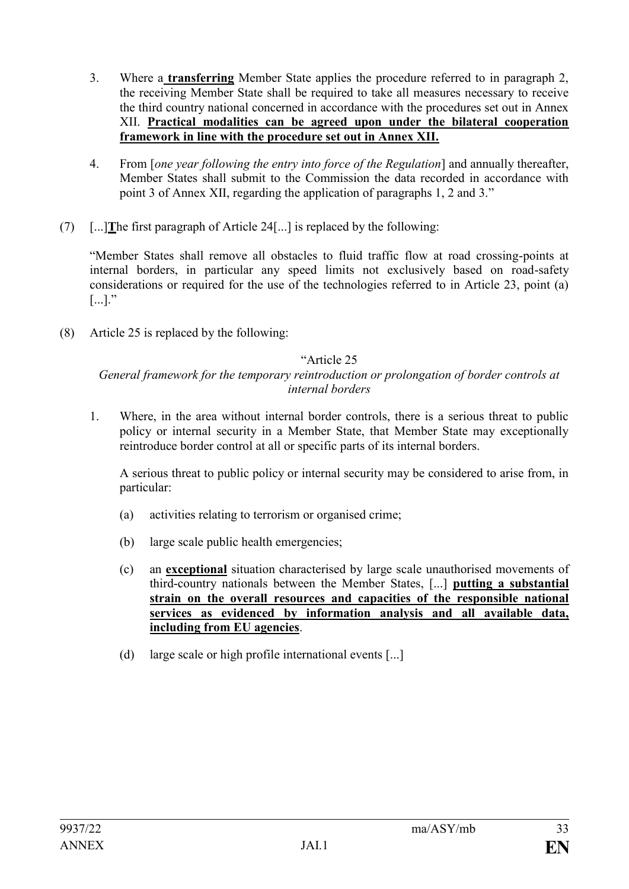- 3. Where a **transferring** Member State applies the procedure referred to in paragraph 2, the receiving Member State shall be required to take all measures necessary to receive the third country national concerned in accordance with the procedures set out in Annex XII. **Practical modalities can be agreed upon under the bilateral cooperation framework in line with the procedure set out in Annex XII.**
- 4. From [*one year following the entry into force of the Regulation*] and annually thereafter, Member States shall submit to the Commission the data recorded in accordance with point 3 of Annex XII, regarding the application of paragraphs 1, 2 and 3."
- (7) [...]**T**he first paragraph of Article 24[...] is replaced by the following:

"Member States shall remove all obstacles to fluid traffic flow at road crossing-points at internal borders, in particular any speed limits not exclusively based on road-safety considerations or required for the use of the technologies referred to in Article 23, point (a)  $\left[\ldots\right]$ ."

(8) Article 25 is replaced by the following:

### "Article 25

*General framework for the temporary reintroduction or prolongation of border controls at internal borders*

1. Where, in the area without internal border controls, there is a serious threat to public policy or internal security in a Member State, that Member State may exceptionally reintroduce border control at all or specific parts of its internal borders.

A serious threat to public policy or internal security may be considered to arise from, in particular:

- (a) activities relating to terrorism or organised crime;
- (b) large scale public health emergencies;
- (c) an **exceptional** situation characterised by large scale unauthorised movements of third-country nationals between the Member States, [...] **putting a substantial strain on the overall resources and capacities of the responsible national services as evidenced by information analysis and all available data, including from EU agencies**.
- (d) large scale or high profile international events [...]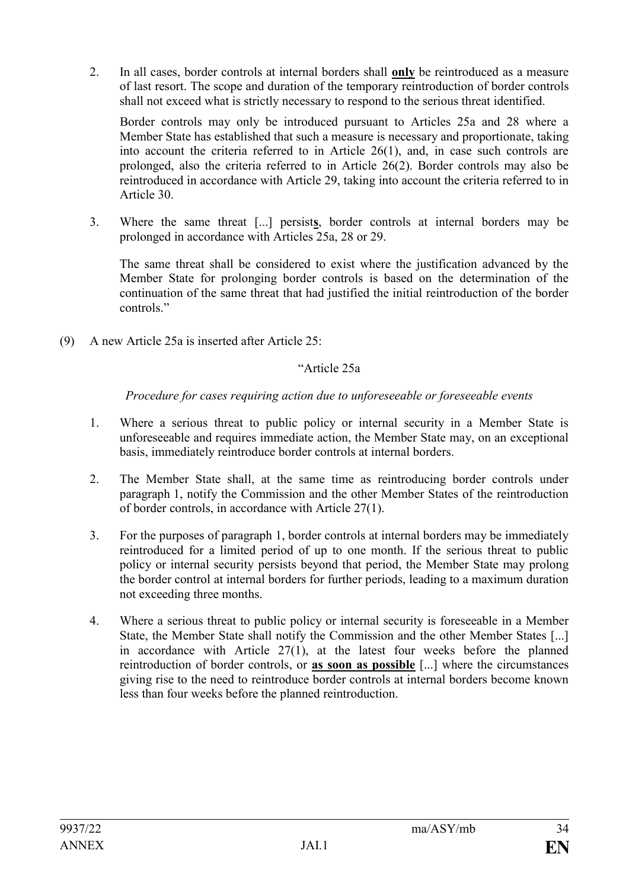2. In all cases, border controls at internal borders shall **only** be reintroduced as a measure of last resort. The scope and duration of the temporary reintroduction of border controls shall not exceed what is strictly necessary to respond to the serious threat identified.

Border controls may only be introduced pursuant to Articles 25a and 28 where a Member State has established that such a measure is necessary and proportionate, taking into account the criteria referred to in Article 26(1), and, in case such controls are prolonged, also the criteria referred to in Article 26(2). Border controls may also be reintroduced in accordance with Article 29, taking into account the criteria referred to in Article 30.

3. Where the same threat [...] persist**s**, border controls at internal borders may be prolonged in accordance with Articles 25a, 28 or 29.

The same threat shall be considered to exist where the justification advanced by the Member State for prolonging border controls is based on the determination of the continuation of the same threat that had justified the initial reintroduction of the border controls<sup>"</sup>

(9) A new Article 25a is inserted after Article 25:

### "Article 25a

*Procedure for cases requiring action due to unforeseeable or foreseeable events*

- 1. Where a serious threat to public policy or internal security in a Member State is unforeseeable and requires immediate action, the Member State may, on an exceptional basis, immediately reintroduce border controls at internal borders.
- 2. The Member State shall, at the same time as reintroducing border controls under paragraph 1, notify the Commission and the other Member States of the reintroduction of border controls, in accordance with Article 27(1).
- 3. For the purposes of paragraph 1, border controls at internal borders may be immediately reintroduced for a limited period of up to one month. If the serious threat to public policy or internal security persists beyond that period, the Member State may prolong the border control at internal borders for further periods, leading to a maximum duration not exceeding three months.
- 4. Where a serious threat to public policy or internal security is foreseeable in a Member State, the Member State shall notify the Commission and the other Member States [...] in accordance with Article 27(1), at the latest four weeks before the planned reintroduction of border controls, or **as soon as possible** [...] where the circumstances giving rise to the need to reintroduce border controls at internal borders become known less than four weeks before the planned reintroduction.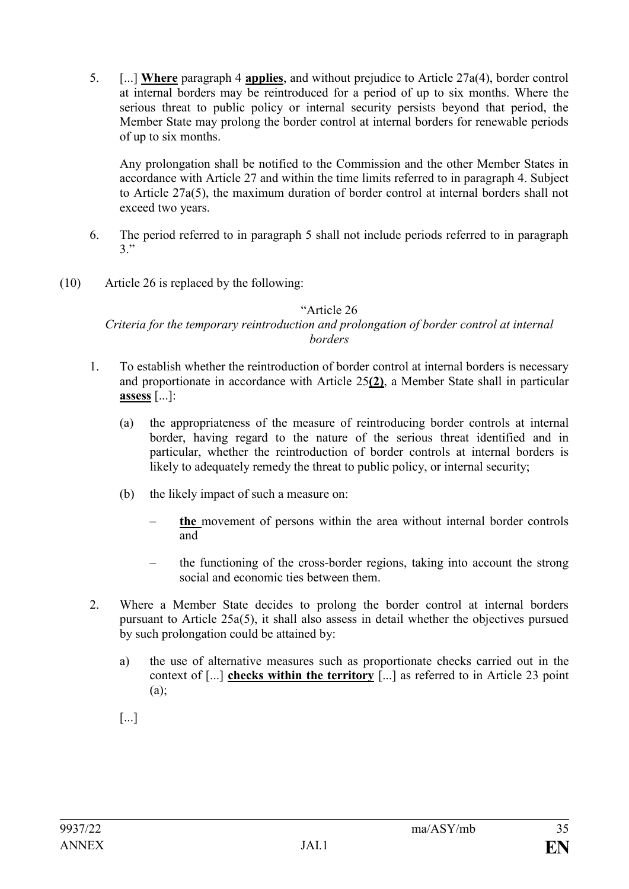5. [...] **Where** paragraph 4 **applies**, and without prejudice to Article 27a(4), border control at internal borders may be reintroduced for a period of up to six months. Where the serious threat to public policy or internal security persists beyond that period, the Member State may prolong the border control at internal borders for renewable periods of up to six months.

Any prolongation shall be notified to the Commission and the other Member States in accordance with Article 27 and within the time limits referred to in paragraph 4. Subject to Article 27a(5), the maximum duration of border control at internal borders shall not exceed two years.

- 6. The period referred to in paragraph 5 shall not include periods referred to in paragraph 3."
- (10) Article 26 is replaced by the following:

### "Article 26

### *Criteria for the temporary reintroduction and prolongation of border control at internal borders*

- 1. To establish whether the reintroduction of border control at internal borders is necessary and proportionate in accordance with Article 25**(2)**, a Member State shall in particular **assess** [...]:
	- (a) the appropriateness of the measure of reintroducing border controls at internal border, having regard to the nature of the serious threat identified and in particular, whether the reintroduction of border controls at internal borders is likely to adequately remedy the threat to public policy, or internal security;
	- (b) the likely impact of such a measure on:
		- **the** movement of persons within the area without internal border controls and
		- the functioning of the cross-border regions, taking into account the strong social and economic ties between them.
- 2. Where a Member State decides to prolong the border control at internal borders pursuant to Article 25a(5), it shall also assess in detail whether the objectives pursued by such prolongation could be attained by:
	- a) the use of alternative measures such as proportionate checks carried out in the context of [...] **checks within the territory** [...] as referred to in Article 23 point (a);
	- [...]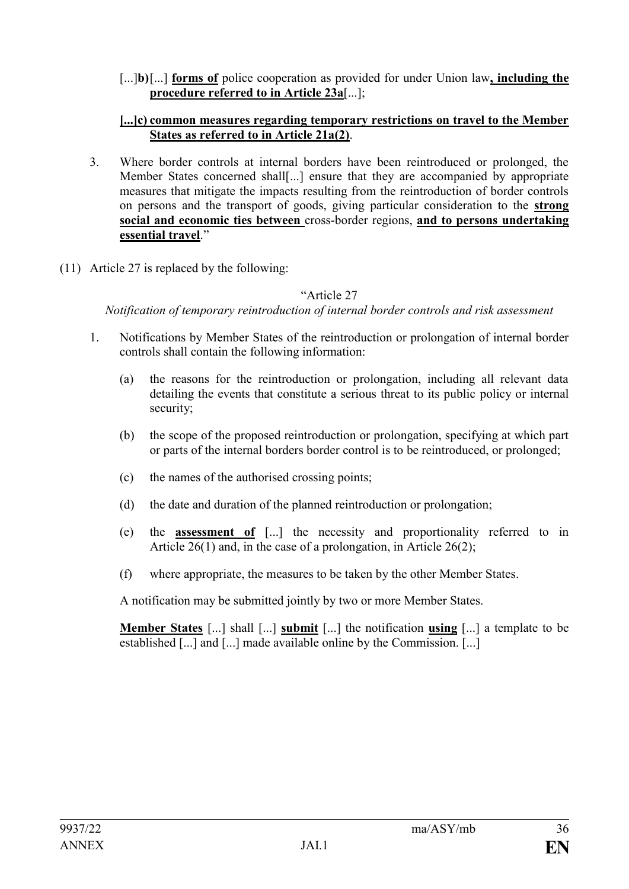#### [...]**b)**[...] **forms of** police cooperation as provided for under Union law**, including the procedure referred to in Article 23a**[...];

#### **[...]c) common measures regarding temporary restrictions on travel to the Member States as referred to in Article 21a(2)**.

- 3. Where border controls at internal borders have been reintroduced or prolonged, the Member States concerned shall[...] ensure that they are accompanied by appropriate measures that mitigate the impacts resulting from the reintroduction of border controls on persons and the transport of goods, giving particular consideration to the **strong social and economic ties between** cross-border regions, **and to persons undertaking essential travel**."
- (11) Article 27 is replaced by the following:

### "Article 27

*Notification of temporary reintroduction of internal border controls and risk assessment*

- 1. Notifications by Member States of the reintroduction or prolongation of internal border controls shall contain the following information:
	- (a) the reasons for the reintroduction or prolongation, including all relevant data detailing the events that constitute a serious threat to its public policy or internal security;
	- (b) the scope of the proposed reintroduction or prolongation, specifying at which part or parts of the internal borders border control is to be reintroduced, or prolonged;
	- (c) the names of the authorised crossing points;
	- (d) the date and duration of the planned reintroduction or prolongation;
	- (e) the **assessment of** [...] the necessity and proportionality referred to in Article 26(1) and, in the case of a prolongation, in Article 26(2);
	- (f) where appropriate, the measures to be taken by the other Member States.

A notification may be submitted jointly by two or more Member States.

**Member States** [...] shall [...] **submit** [...] the notification **using** [...] a template to be established [...] and [...] made available online by the Commission. [...]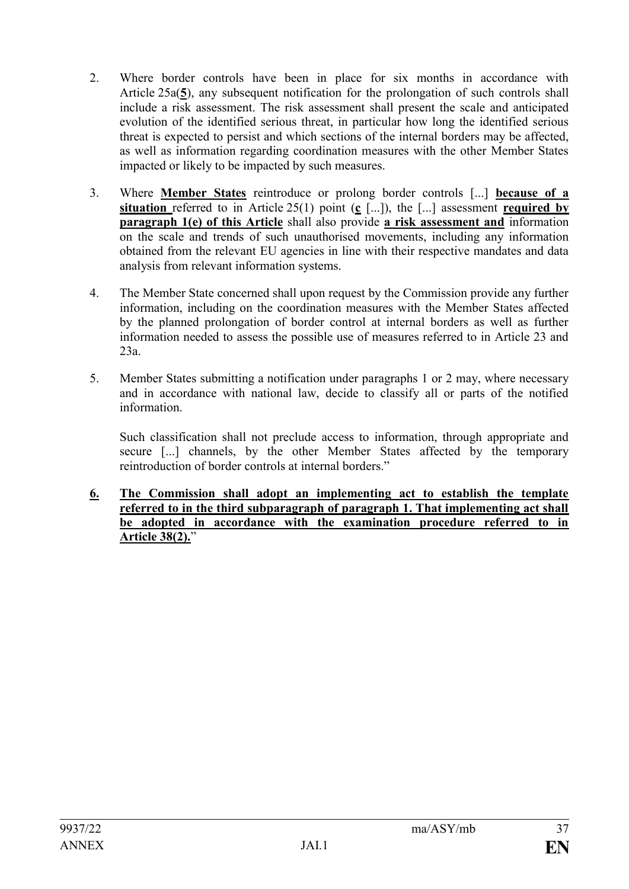- 2. Where border controls have been in place for six months in accordance with Article 25a(**5**), any subsequent notification for the prolongation of such controls shall include a risk assessment. The risk assessment shall present the scale and anticipated evolution of the identified serious threat, in particular how long the identified serious threat is expected to persist and which sections of the internal borders may be affected, as well as information regarding coordination measures with the other Member States impacted or likely to be impacted by such measures.
- 3. Where **Member States** reintroduce or prolong border controls [...] **because of a situation** referred to in Article 25(1) point (**c** [...]), the [...] assessment **required by paragraph 1(e) of this Article** shall also provide **a risk assessment and** information on the scale and trends of such unauthorised movements, including any information obtained from the relevant EU agencies in line with their respective mandates and data analysis from relevant information systems.
- 4. The Member State concerned shall upon request by the Commission provide any further information, including on the coordination measures with the Member States affected by the planned prolongation of border control at internal borders as well as further information needed to assess the possible use of measures referred to in Article 23 and 23a.
- 5. Member States submitting a notification under paragraphs 1 or 2 may, where necessary and in accordance with national law, decide to classify all or parts of the notified information.

Such classification shall not preclude access to information, through appropriate and secure [...] channels, by the other Member States affected by the temporary reintroduction of border controls at internal borders."

**6. The Commission shall adopt an implementing act to establish the template referred to in the third subparagraph of paragraph 1. That implementing act shall be adopted in accordance with the examination procedure referred to in Article 38(2).**"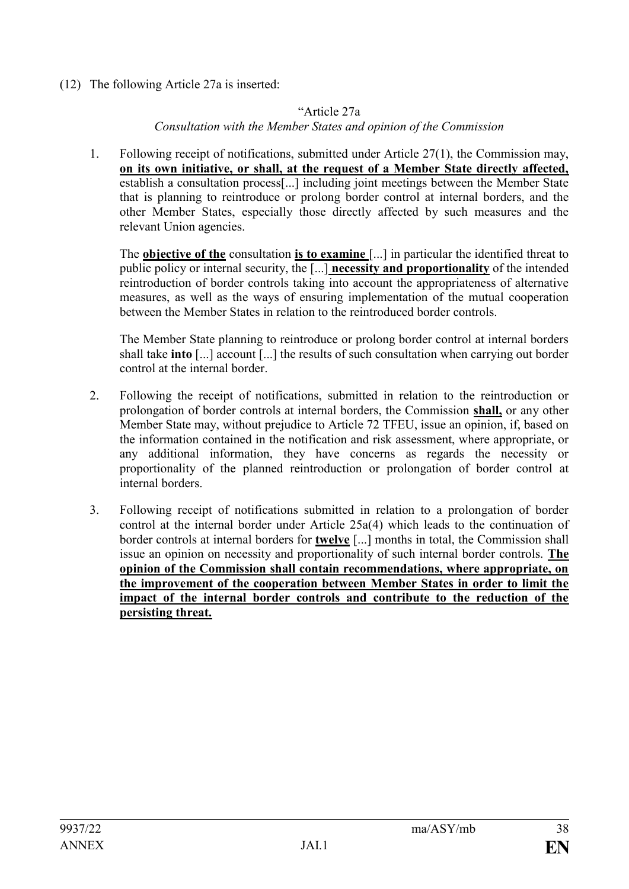(12) The following Article 27a is inserted:

# "Article 27a

*Consultation with the Member States and opinion of the Commission*

1. Following receipt of notifications, submitted under Article 27(1), the Commission may, **on its own initiative, or shall, at the request of a Member State directly affected,** establish a consultation process[...] including joint meetings between the Member State that is planning to reintroduce or prolong border control at internal borders, and the other Member States, especially those directly affected by such measures and the relevant Union agencies.

The **objective of the** consultation **is to examine** [...] in particular the identified threat to public policy or internal security, the [...] **necessity and proportionality** of the intended reintroduction of border controls taking into account the appropriateness of alternative measures, as well as the ways of ensuring implementation of the mutual cooperation between the Member States in relation to the reintroduced border controls.

The Member State planning to reintroduce or prolong border control at internal borders shall take **into** [...] account [...] the results of such consultation when carrying out border control at the internal border.

- 2. Following the receipt of notifications, submitted in relation to the reintroduction or prolongation of border controls at internal borders, the Commission **shall,** or any other Member State may, without prejudice to Article 72 TFEU, issue an opinion, if, based on the information contained in the notification and risk assessment, where appropriate, or any additional information, they have concerns as regards the necessity or proportionality of the planned reintroduction or prolongation of border control at internal borders.
- 3. Following receipt of notifications submitted in relation to a prolongation of border control at the internal border under Article 25a(4) which leads to the continuation of border controls at internal borders for **twelve** [...] months in total, the Commission shall issue an opinion on necessity and proportionality of such internal border controls. **The opinion of the Commission shall contain recommendations, where appropriate, on the improvement of the cooperation between Member States in order to limit the impact of the internal border controls and contribute to the reduction of the persisting threat.**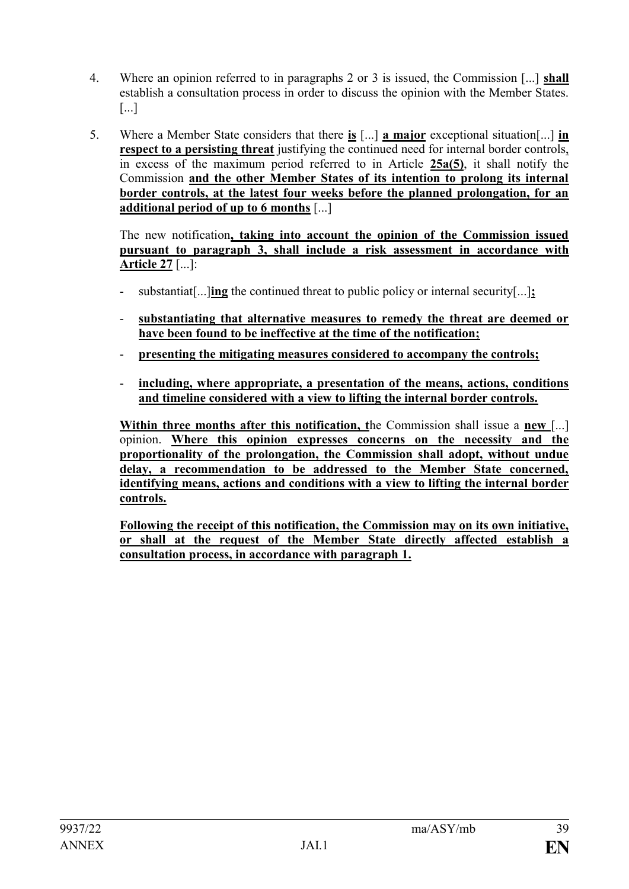- 4. Where an opinion referred to in paragraphs 2 or 3 is issued, the Commission [...] **shall**  establish a consultation process in order to discuss the opinion with the Member States. [...]
- 5. Where a Member State considers that there **is** [...] **a major** exceptional situation[...] **in respect to a persisting threat** justifying the continued need for internal border controls, in excess of the maximum period referred to in Article **25a(5)**, it shall notify the Commission **and the other Member States of its intention to prolong its internal border controls, at the latest four weeks before the planned prolongation, for an additional period of up to 6 months** [...]

The new notification**, taking into account the opinion of the Commission issued pursuant to paragraph 3, shall include a risk assessment in accordance with Article 27** [...]:

- substantiat[...]**ing** the continued threat to public policy or internal security[...]**;**
- substantiating that alternative measures to remedy the threat are deemed or **have been found to be ineffective at the time of the notification;**
- **presenting the mitigating measures considered to accompany the controls;**
- **including, where appropriate, a presentation of the means, actions, conditions and timeline considered with a view to lifting the internal border controls.**

**Within three months after this notification, t**he Commission shall issue a **new** [...] opinion. **Where this opinion expresses concerns on the necessity and the proportionality of the prolongation, the Commission shall adopt, without undue delay, a recommendation to be addressed to the Member State concerned, identifying means, actions and conditions with a view to lifting the internal border controls.**

**Following the receipt of this notification, the Commission may on its own initiative, or shall at the request of the Member State directly affected establish a consultation process, in accordance with paragraph 1.**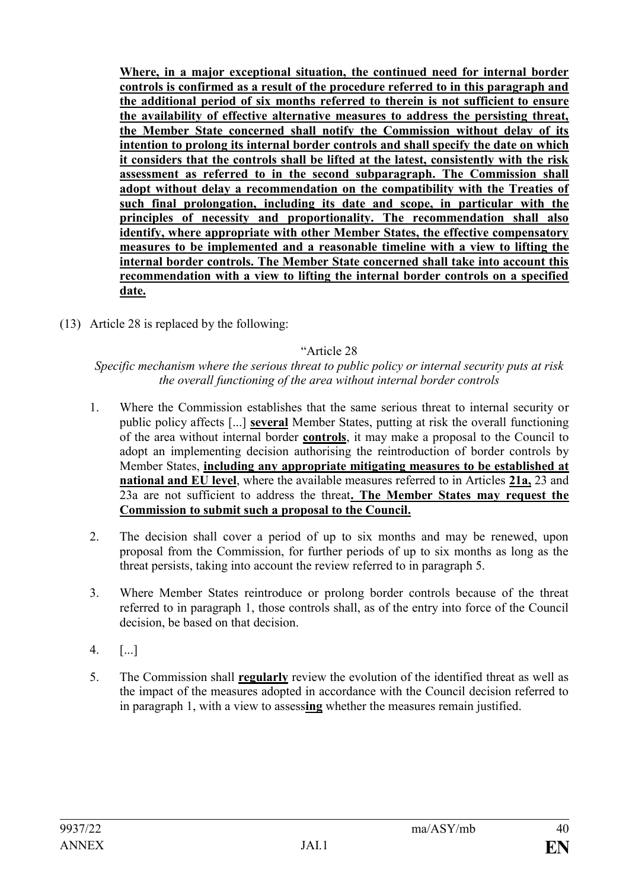**Where, in a major exceptional situation, the continued need for internal border controls is confirmed as a result of the procedure referred to in this paragraph and the additional period of six months referred to therein is not sufficient to ensure the availability of effective alternative measures to address the persisting threat, the Member State concerned shall notify the Commission without delay of its intention to prolong its internal border controls and shall specify the date on which it considers that the controls shall be lifted at the latest, consistently with the risk assessment as referred to in the second subparagraph. The Commission shall adopt without delay a recommendation on the compatibility with the Treaties of such final prolongation, including its date and scope, in particular with the principles of necessity and proportionality. The recommendation shall also identify, where appropriate with other Member States, the effective compensatory measures to be implemented and a reasonable timeline with a view to lifting the internal border controls. The Member State concerned shall take into account this recommendation with a view to lifting the internal border controls on a specified date.**

(13) Article 28 is replaced by the following:

# "Article 28

### *Specific mechanism where the serious threat to public policy or internal security puts at risk the overall functioning of the area without internal border controls*

- 1. Where the Commission establishes that the same serious threat to internal security or public policy affects [...] **several** Member States, putting at risk the overall functioning of the area without internal border **controls**, it may make a proposal to the Council to adopt an implementing decision authorising the reintroduction of border controls by Member States, **including any appropriate mitigating measures to be established at national and EU level**, where the available measures referred to in Articles **21a,** 23 and 23a are not sufficient to address the threat**. The Member States may request the Commission to submit such a proposal to the Council.**
- 2. The decision shall cover a period of up to six months and may be renewed, upon proposal from the Commission, for further periods of up to six months as long as the threat persists, taking into account the review referred to in paragraph 5.
- 3. Where Member States reintroduce or prolong border controls because of the threat referred to in paragraph 1, those controls shall, as of the entry into force of the Council decision, be based on that decision.
- 4. [...]
- 5. The Commission shall **regularly** review the evolution of the identified threat as well as the impact of the measures adopted in accordance with the Council decision referred to in paragraph 1, with a view to assess**ing** whether the measures remain justified.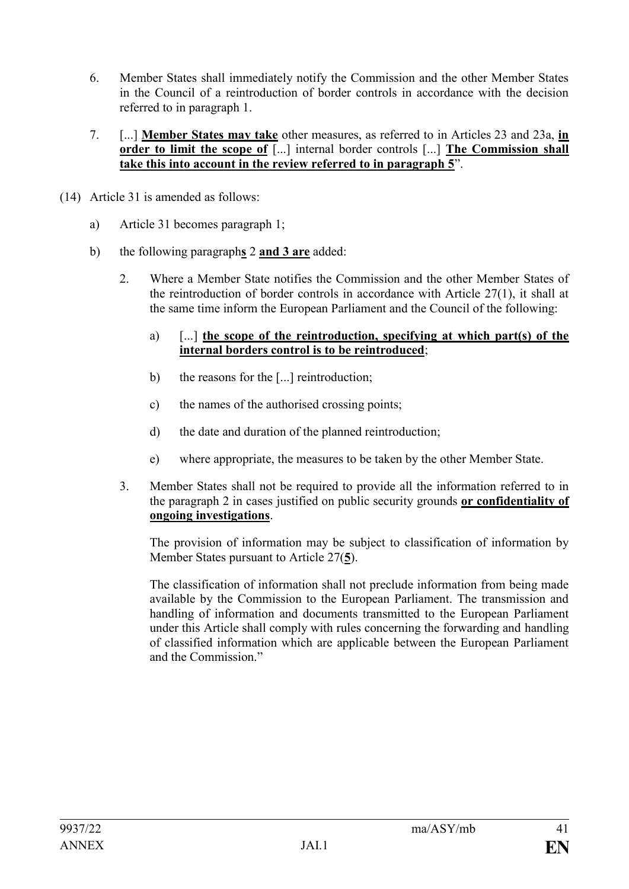- 6. Member States shall immediately notify the Commission and the other Member States in the Council of a reintroduction of border controls in accordance with the decision referred to in paragraph 1.
- 7. [...] **Member States may take** other measures, as referred to in Articles 23 and 23a, **in order to limit the scope of** [...] internal border controls [...] **The Commission shall take this into account in the review referred to in paragraph 5**".
- (14) Article 31 is amended as follows:
	- a) Article 31 becomes paragraph 1;
	- b) the following paragraph**s** 2 **and 3 are** added:
		- 2. Where a Member State notifies the Commission and the other Member States of the reintroduction of border controls in accordance with Article 27(1), it shall at the same time inform the European Parliament and the Council of the following:
			- a) [...] **the scope of the reintroduction, specifying at which part(s) of the internal borders control is to be reintroduced**;
			- b) the reasons for the [...] reintroduction;
			- c) the names of the authorised crossing points;
			- d) the date and duration of the planned reintroduction;
			- e) where appropriate, the measures to be taken by the other Member State.
		- 3. Member States shall not be required to provide all the information referred to in the paragraph 2 in cases justified on public security grounds **or confidentiality of ongoing investigations**.

The provision of information may be subject to classification of information by Member States pursuant to Article 27(**5**).

The classification of information shall not preclude information from being made available by the Commission to the European Parliament. The transmission and handling of information and documents transmitted to the European Parliament under this Article shall comply with rules concerning the forwarding and handling of classified information which are applicable between the European Parliament and the Commission."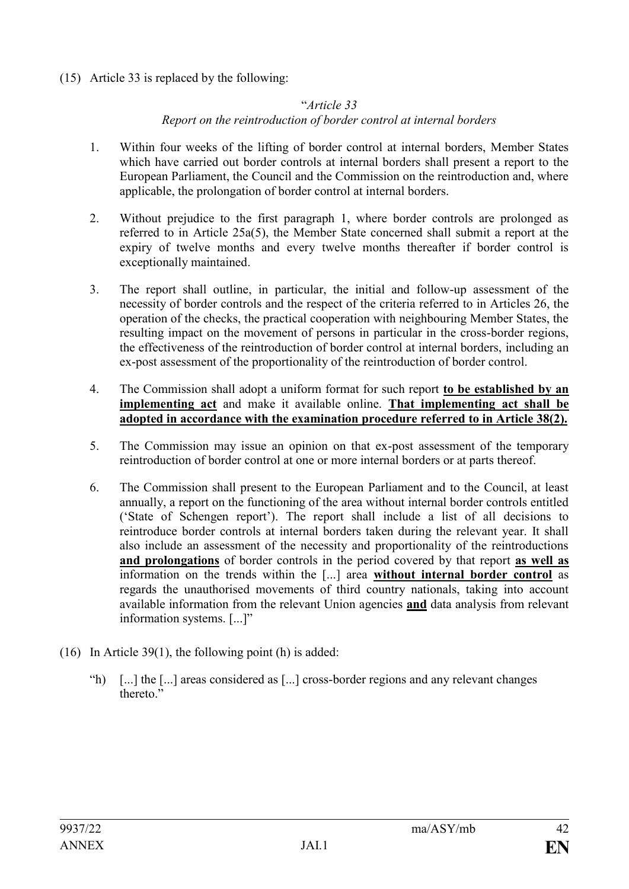(15) Article 33 is replaced by the following:

### "*Article 33*

# *Report on the reintroduction of border control at internal borders*

- 1. Within four weeks of the lifting of border control at internal borders, Member States which have carried out border controls at internal borders shall present a report to the European Parliament, the Council and the Commission on the reintroduction and, where applicable, the prolongation of border control at internal borders.
- 2. Without prejudice to the first paragraph 1, where border controls are prolonged as referred to in Article 25a(5), the Member State concerned shall submit a report at the expiry of twelve months and every twelve months thereafter if border control is exceptionally maintained.
- 3. The report shall outline, in particular, the initial and follow-up assessment of the necessity of border controls and the respect of the criteria referred to in Articles 26, the operation of the checks, the practical cooperation with neighbouring Member States, the resulting impact on the movement of persons in particular in the cross-border regions, the effectiveness of the reintroduction of border control at internal borders, including an ex-post assessment of the proportionality of the reintroduction of border control.
- 4. The Commission shall adopt a uniform format for such report **to be established by an implementing act** and make it available online. **That implementing act shall be adopted in accordance with the examination procedure referred to in Article 38(2).**
- 5. The Commission may issue an opinion on that ex-post assessment of the temporary reintroduction of border control at one or more internal borders or at parts thereof.
- 6. The Commission shall present to the European Parliament and to the Council, at least annually, a report on the functioning of the area without internal border controls entitled ('State of Schengen report'). The report shall include a list of all decisions to reintroduce border controls at internal borders taken during the relevant year. It shall also include an assessment of the necessity and proportionality of the reintroductions **and prolongations** of border controls in the period covered by that report **as well as** information on the trends within the [...] area **without internal border control** as regards the unauthorised movements of third country nationals, taking into account available information from the relevant Union agencies **and** data analysis from relevant information systems. [...]"
- (16) In Article 39(1), the following point (h) is added:
	- "h) [...] the [...] areas considered as [...] cross-border regions and any relevant changes thereto<sup>"</sup>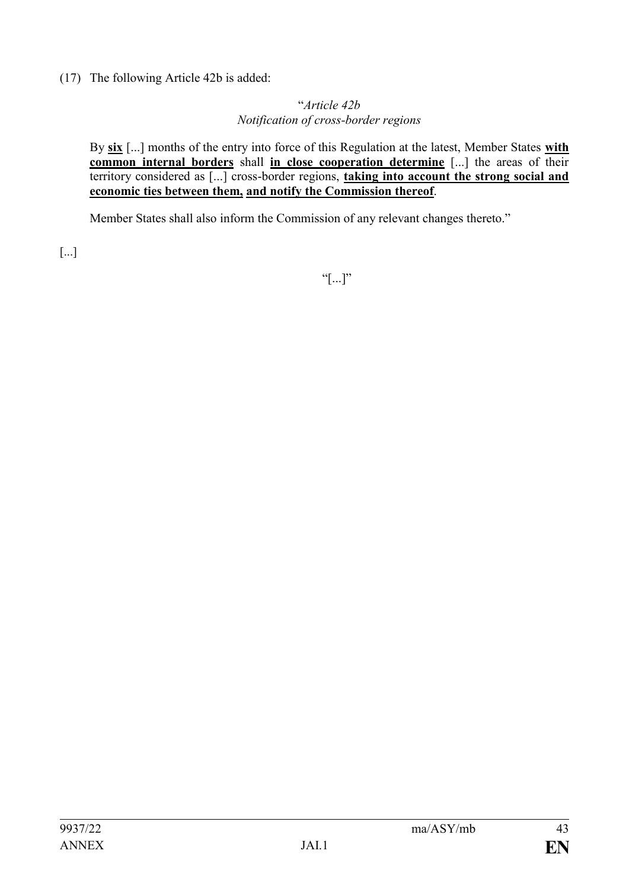(17) The following Article 42b is added:

### "*Article 42b Notification of cross-border regions*

By **six** [...] months of the entry into force of this Regulation at the latest, Member States **with common internal borders** shall **in close cooperation determine** [...] the areas of their territory considered as [...] cross-border regions, **taking into account the strong social and economic ties between them, and notify the Commission thereof**.

Member States shall also inform the Commission of any relevant changes thereto."

[...]

 $``[...]''$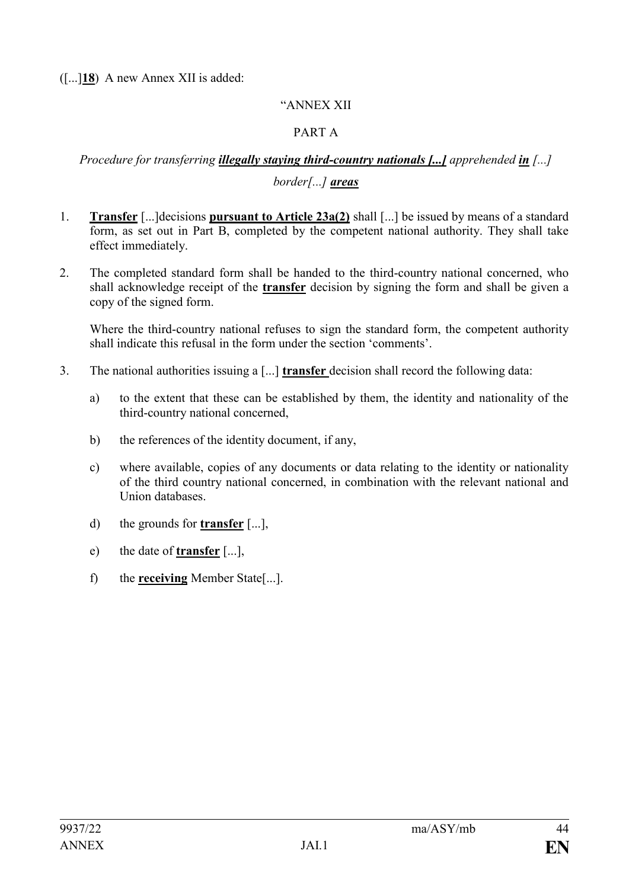([...]**18**) A new Annex XII is added:

### "ANNEX XII

# PART A

# *Procedure for transferring illegally staying third-country nationals [...] apprehended in [...] border[...] areas*

- 1. **Transfer** [...]decisions **pursuant to Article 23a(2)** shall [...] be issued by means of a standard form, as set out in Part B, completed by the competent national authority. They shall take effect immediately.
- 2. The completed standard form shall be handed to the third-country national concerned, who shall acknowledge receipt of the **transfer** decision by signing the form and shall be given a copy of the signed form.

Where the third-country national refuses to sign the standard form, the competent authority shall indicate this refusal in the form under the section 'comments'.

- 3. The national authorities issuing a [...] **transfer** decision shall record the following data:
	- a) to the extent that these can be established by them, the identity and nationality of the third-country national concerned,
	- b) the references of the identity document, if any,
	- c) where available, copies of any documents or data relating to the identity or nationality of the third country national concerned, in combination with the relevant national and Union databases.
	- d) the grounds for **transfer** [...],
	- e) the date of **transfer** [...],
	- f) the **receiving** Member State[...].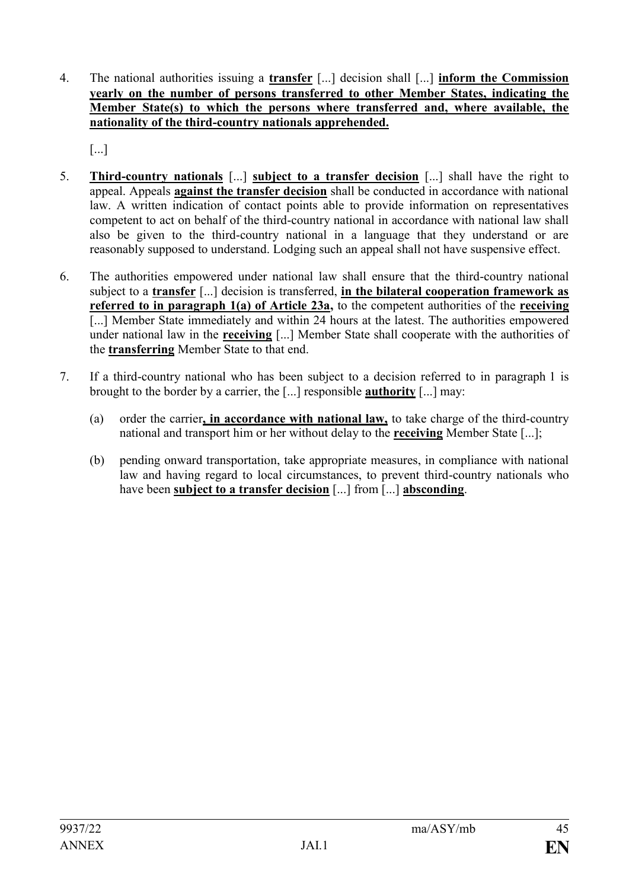4. The national authorities issuing a **transfer** [...] decision shall [...] **inform the Commission yearly on the number of persons transferred to other Member States, indicating the Member State(s) to which the persons where transferred and, where available, the nationality of the third-country nationals apprehended.**

[...]

- 5. **Third-country nationals** [...] **subject to a transfer decision** [...] shall have the right to appeal. Appeals **against the transfer decision** shall be conducted in accordance with national law. A written indication of contact points able to provide information on representatives competent to act on behalf of the third-country national in accordance with national law shall also be given to the third-country national in a language that they understand or are reasonably supposed to understand. Lodging such an appeal shall not have suspensive effect.
- 6. The authorities empowered under national law shall ensure that the third-country national subject to a **transfer** [...] decision is transferred, **in the bilateral cooperation framework as referred to in paragraph 1(a) of Article 23a,** to the competent authorities of the **receiving** [...] Member State immediately and within 24 hours at the latest. The authorities empowered under national law in the **receiving** [...] Member State shall cooperate with the authorities of the **transferring** Member State to that end.
- 7. If a third-country national who has been subject to a decision referred to in paragraph 1 is brought to the border by a carrier, the [...] responsible **authority** [...] may:
	- (a) order the carrier**, in accordance with national law,** to take charge of the third-country national and transport him or her without delay to the **receiving** Member State [...];
	- (b) pending onward transportation, take appropriate measures, in compliance with national law and having regard to local circumstances, to prevent third-country nationals who have been **subject to a transfer decision** [...] from [...] **absconding**.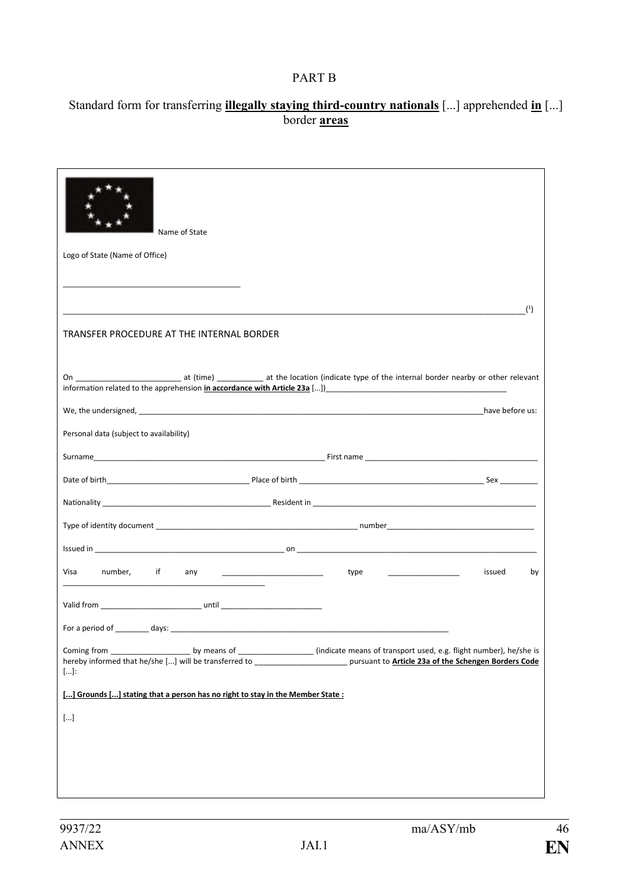# PART B

# Standard form for transferring **illegally staying third-country nationals** [...] apprehended **in** [...] border **areas**

| Name of State                                                                                                                                     |
|---------------------------------------------------------------------------------------------------------------------------------------------------|
| Logo of State (Name of Office)                                                                                                                    |
|                                                                                                                                                   |
| (1)                                                                                                                                               |
| TRANSFER PROCEDURE AT THE INTERNAL BORDER                                                                                                         |
| information related to the apprehension in accordance with Article 23a []                                                                         |
|                                                                                                                                                   |
| Personal data (subject to availability)                                                                                                           |
|                                                                                                                                                   |
|                                                                                                                                                   |
|                                                                                                                                                   |
|                                                                                                                                                   |
|                                                                                                                                                   |
| Visa<br>number, if<br>issued<br>by<br>type __________________                                                                                     |
|                                                                                                                                                   |
|                                                                                                                                                   |
| hereby informed that he/she [] will be transferred to ____________________________ pursuant to Article 23a of the Schengen Borders Code<br>$[]$ : |
| [] Grounds [] stating that a person has no right to stay in the Member State:                                                                     |
| $[]$                                                                                                                                              |
|                                                                                                                                                   |
|                                                                                                                                                   |
|                                                                                                                                                   |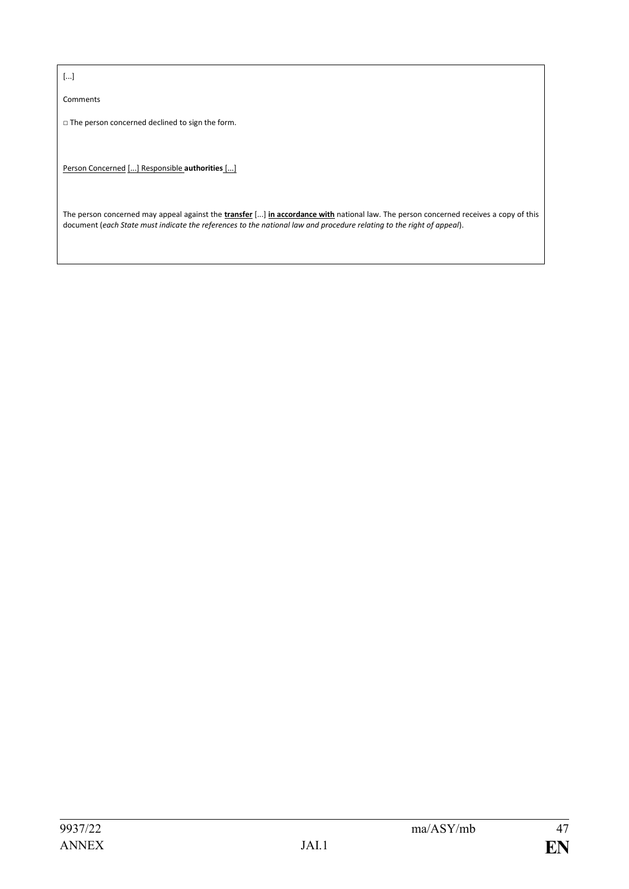[...]

Comments

□ The person concerned declined to sign the form.

Person Concerned [...] Responsible **authorities** [...]

The person concerned may appeal against the **transfer** [...] **in accordance with** national law. The person concerned receives a copy of this document (*each State must indicate the references to the national law and procedure relating to the right of appeal*).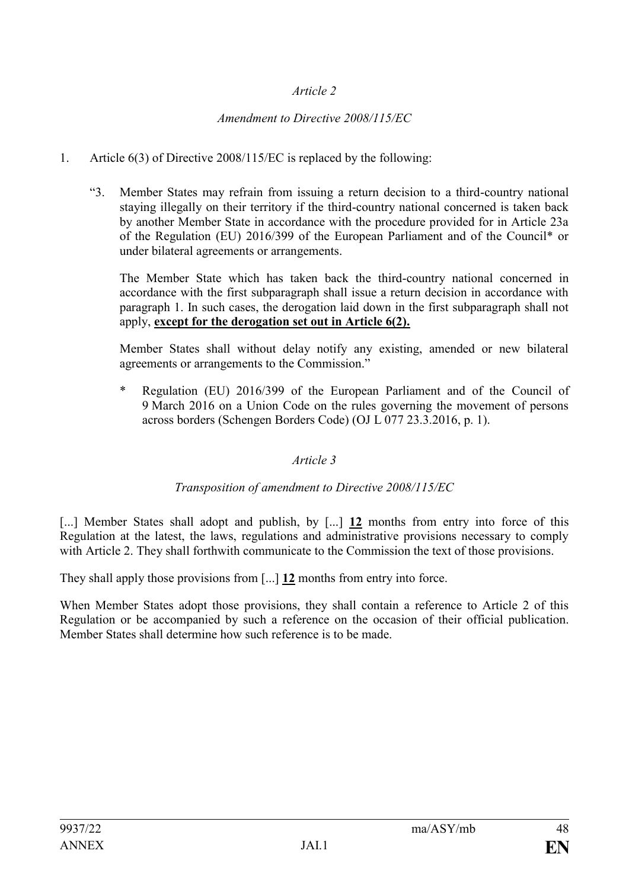# *Article 2*

# *Amendment to Directive 2008/115/EC*

# 1. Article 6(3) of Directive 2008/115/EC is replaced by the following:

"3. Member States may refrain from issuing a return decision to a third-country national staying illegally on their territory if the third-country national concerned is taken back by another Member State in accordance with the procedure provided for in Article 23a of the Regulation (EU) 2016/399 of the European Parliament and of the Council\* or under bilateral agreements or arrangements.

The Member State which has taken back the third-country national concerned in accordance with the first subparagraph shall issue a return decision in accordance with paragraph 1. In such cases, the derogation laid down in the first subparagraph shall not apply, **except for the derogation set out in Article 6(2).**

Member States shall without delay notify any existing, amended or new bilateral agreements or arrangements to the Commission."

Regulation (EU) 2016/399 of the European Parliament and of the Council of 9 March 2016 on a Union Code on the rules governing the movement of persons across borders (Schengen Borders Code) (OJ L 077 23.3.2016, p. 1).

# *Article 3*

# *Transposition of amendment to Directive 2008/115/EC*

[...] Member States shall adopt and publish, by [...] 12 months from entry into force of this Regulation at the latest, the laws, regulations and administrative provisions necessary to comply with Article 2. They shall forthwith communicate to the Commission the text of those provisions.

They shall apply those provisions from [...] **12** months from entry into force.

When Member States adopt those provisions, they shall contain a reference to Article 2 of this Regulation or be accompanied by such a reference on the occasion of their official publication. Member States shall determine how such reference is to be made.